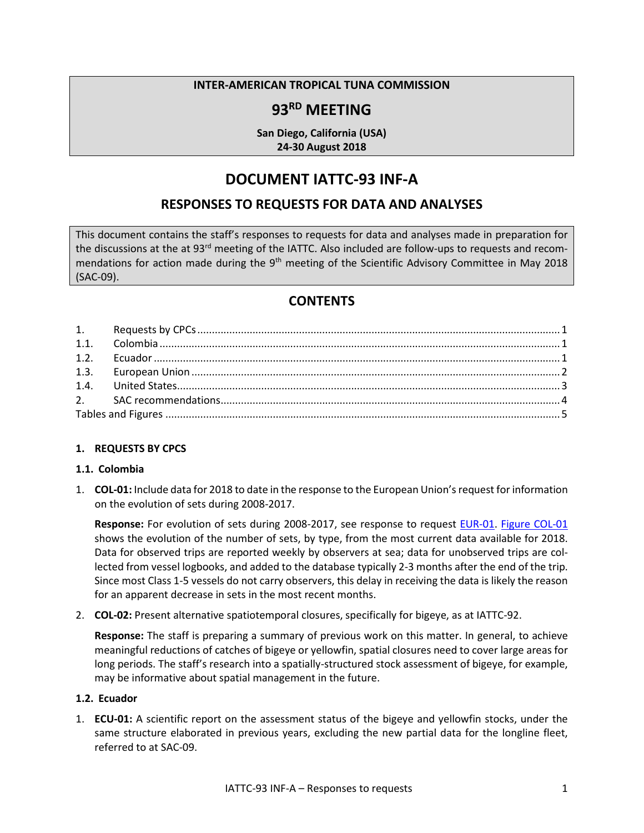#### **INTER-AMERICAN TROPICAL TUNA COMMISSION**

# **93RD MEETING**

**San Diego, California (USA) 24-30 August 2018**

# **DOCUMENT IATTC-93 INF-A**

## **RESPONSES TO REQUESTS FOR DATA AND ANALYSES**

This document contains the staff's responses to requests for data and analyses made in preparation for the discussions at the at 93<sup>rd</sup> meeting of the IATTC. Also included are follow-ups to requests and recommendations for action made during the 9<sup>th</sup> meeting of the Scientific Advisory Committee in May 2018 (SAC-09).

## **CONTENTS**

#### <span id="page-0-0"></span>**1. REQUESTS BY CPCS**

#### <span id="page-0-1"></span>**1.1. Colombia**

1. **COL-01:** Include data for 2018 to date in the response to the European Union's request for information on the evolution of sets during 2008-2017.

**Response:** For evolution of sets during 2008-2017, see response to request EUR-01. Figure COL-01 shows the evolution of the number of sets, by type, from the most current data available for 2018. Data for observed trips are reported weekly by observers at sea; data for unobserved trips are collected from vessel logbooks, and added to the database typically 2-3 months after the end of the trip. Since most Class 1-5 vessels do not carry observers, this delay in receiving the data is likely the reason for an apparent decrease in sets in the most recent months.

2. **COL-02:** Present alternative spatiotemporal closures, specifically for bigeye, as at IATTC-92.

**Response:** The staff is preparing a summary of previous work on this matter. In general, to achieve meaningful reductions of catches of bigeye or yellowfin, spatial closures need to cover large areas for long periods. The staff's research into a spatially-structured stock assessment of bigeye, for example, may be informative about spatial management in the future.

#### <span id="page-0-2"></span>**1.2. Ecuador**

1. **ECU-01:** A scientific report on the assessment status of the bigeye and yellowfin stocks, under the same structure elaborated in previous years, excluding the new partial data for the longline fleet, referred to at SAC-09.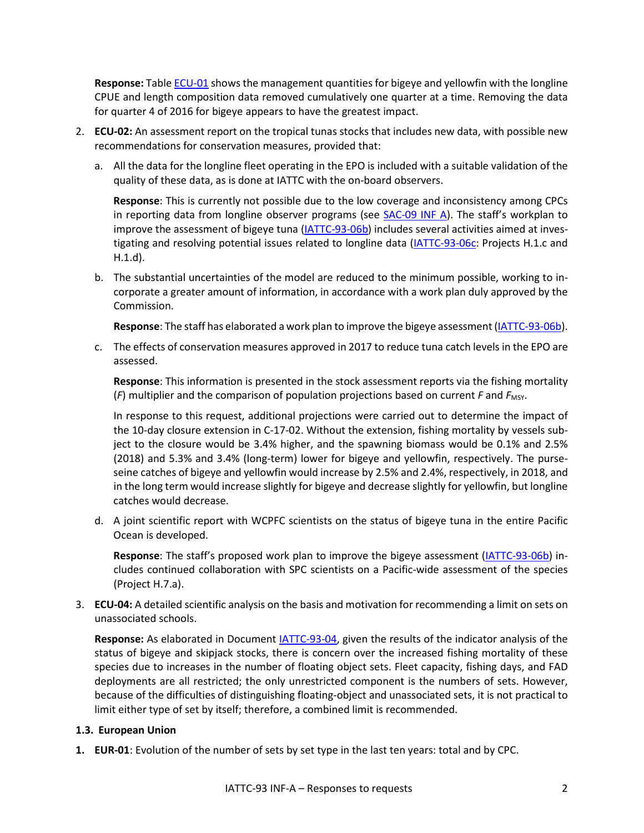**Response:** Table ECU-01 shows the management quantities for bigeye and yellowfin with the longline CPUE and length composition data removed cumulatively one quarter at a time. Removing the data for quarter 4 of 2016 for bigeye appears to have the greatest impact.

- 2. **ECU-02:** An assessment report on the tropical tunas stocks that includes new data, with possible new recommendations for conservation measures, provided that:
	- a. All the data for the longline fleet operating in the EPO is included with a suitable validation of the quality of these data, as is done at IATTC with the on-board observers.

**Response**: This is currently not possible due to the low coverage and inconsistency among CPCs in reporting data from longline observer programs (see [SAC-09 INF A\)](https://www.iattc.org/Meetings/Meetings2018/SAC-09/PDFs/INF/_English/SAC-09-INF-A_Summarized-overview-of-longline-observers-reporting-by-CPCs-pursuant-to-Resolution-C-11-08.pdf). The staff's workplan to improve the assessment of bigeye tuna [\(IATTC-93-06b\)](https://www.iattc.org/Meetings/Meetings2018/IATTC-93/PDFs/Docs/_English/IATTC-93-06b_Staff%20research%20activities.pdf) includes several activities aimed at inves-tigating and resolving potential issues related to longline data [\(IATTC-93-06c:](https://www.iattc.org/Meetings/Meetings2018/IATTC-93/PDFs/Docs/_English/IATTC-93-06c_Unfunded%20projects.pdf) Projects H.1.c and H.1.d).

b. The substantial uncertainties of the model are reduced to the minimum possible, working to incorporate a greater amount of information, in accordance with a work plan duly approved by the Commission.

**Response**: The staff has elaborated a work plan to improve the bigeye assessment[\(IATTC-93-06b\)](https://www.iattc.org/Meetings/Meetings2018/IATTC-93/PDFs/Docs/_English/IATTC-93-06b_Staff%20research%20activities.pdf).

c. The effects of conservation measures approved in 2017 to reduce tuna catch levels in the EPO are assessed.

**Response**: This information is presented in the stock assessment reports via the fishing mortality  $(F)$  multiplier and the comparison of population projections based on current  $F$  and  $F$ <sub>MSY</sub>.

In response to this request, additional projections were carried out to determine the impact of the 10-day closure extension in C-17-02. Without the extension, fishing mortality by vessels subject to the closure would be 3.4% higher, and the spawning biomass would be 0.1% and 2.5% (2018) and 5.3% and 3.4% (long-term) lower for bigeye and yellowfin, respectively. The purseseine catches of bigeye and yellowfin would increase by 2.5% and 2.4%, respectively, in 2018, and in the long term would increase slightly for bigeye and decrease slightly for yellowfin, but longline catches would decrease.

d. A joint scientific report with WCPFC scientists on the status of bigeye tuna in the entire Pacific Ocean is developed.

**Response**: The staff's proposed work plan to improve the bigeye assessment [\(IATTC-93-06b\)](https://www.iattc.org/Meetings/Meetings2018/IATTC-93/PDFs/Docs/_English/IATTC-93-06b_Staff%20research%20activities.pdf) includes continued collaboration with SPC scientists on a Pacific-wide assessment of the species (Project H.7.a).

3. **ECU-04:** A detailed scientific analysis on the basis and motivation for recommending a limit on sets on unassociated schools.

**Response:** As elaborated in Document [IATTC-93-04,](https://www.iattc.org/Meetings/Meetings2018/IATTC-93/PDFs/Docs/_English/IATTC-93-04_Conservation-recommendations-by-the-Commission-staff.pdf) given the results of the indicator analysis of the status of bigeye and skipjack stocks, there is concern over the increased fishing mortality of these species due to increases in the number of floating object sets. Fleet capacity, fishing days, and FAD deployments are all restricted; the only unrestricted component is the numbers of sets. However, because of the difficulties of distinguishing floating-object and unassociated sets, it is not practical to limit either type of set by itself; therefore, a combined limit is recommended.

### <span id="page-1-0"></span>**1.3. European Union**

**1. EUR-01**: Evolution of the number of sets by set type in the last ten years: total and by CPC.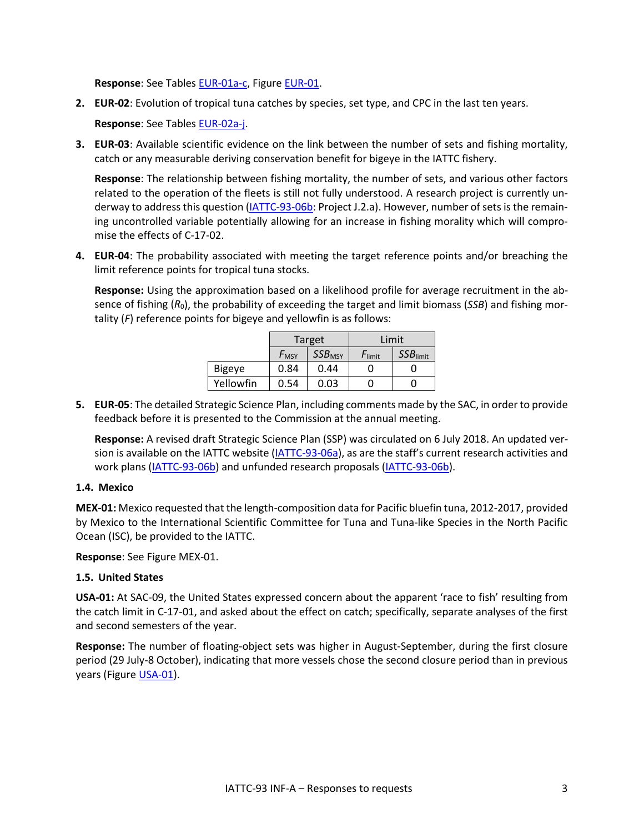**Response**: See Tables EUR-01a-c, Figure EUR-01.

**2. EUR-02**: Evolution of tropical tuna catches by species, set type, and CPC in the last ten years.

**Response**: See Tables EUR-02a-j.

**3. EUR-03**: Available scientific evidence on the link between the number of sets and fishing mortality, catch or any measurable deriving conservation benefit for bigeye in the IATTC fishery.

**Response**: The relationship between fishing mortality, the number of sets, and various other factors related to the operation of the fleets is still not fully understood. A research project is currently underway to address this question [\(IATTC-93-06b:](https://www.iattc.org/Meetings/Meetings2018/IATTC-93/PDFs/Docs/_English/IATTC-93-06b_Staff%20research%20activities.pdf) Project J.2.a). However, number of sets is the remaining uncontrolled variable potentially allowing for an increase in fishing morality which will compromise the effects of C-17-02.

**4. EUR-04**: The probability associated with meeting the target reference points and/or breaching the limit reference points for tropical tuna stocks.

**Response:** Using the approximation based on a likelihood profile for average recruitment in the absence of fishing (*R*0), the probability of exceeding the target and limit biomass (*SSB*) and fishing mortality (*F*) reference points for bigeye and yellowfin is as follows:

|               |                    | Target                    |           | Limit       |
|---------------|--------------------|---------------------------|-----------|-------------|
|               | $F_{\mathsf{MSY}}$ | <b>SSB</b> <sub>MSY</sub> | $F$ limit | $SSB$ limit |
| <b>Bigeye</b> | 0.84               | 0.44                      |           |             |
| Yellowfin     | 0.54               | 0.03                      |           |             |

**5. EUR-05**: The detailed Strategic Science Plan, including comments made by the SAC, in order to provide feedback before it is presented to the Commission at the annual meeting.

**Response:** A revised draft Strategic Science Plan (SSP) was circulated on 6 July 2018. An updated ver-sion is available on the IATTC website [\(IATTC-93-06a\)](https://www.iattc.org/Meetings/Meetings2018/IATTC-93/PDFs/Docs/_English/IATTC-93-06a_Strategic%20Science%20Plan.pdf), as are the staff's current research activities and work plans [\(IATTC-93-06b\)](https://www.iattc.org/Meetings/Meetings2018/IATTC-93/PDFs/Docs/_English/IATTC-93-06b_Staff%20research%20activities.pdf) and unfunded research proposals (IATTC-93-06b).

#### <span id="page-2-0"></span>**1.4. Mexico**

**MEX-01:** Mexico requested that the length-composition data for Pacific bluefin tuna, 2012-2017, provided by Mexico to the International Scientific Committee for Tuna and Tuna-like Species in the North Pacific Ocean (ISC), be provided to the IATTC.

**Response**: See Figure MEX-01.

#### **1.5. United States**

**USA-01:** At SAC-09, the United States expressed concern about the apparent 'race to fish' resulting from the catch limit in [C-17-01,](https://www.iattc.org/PDFFiles/Resolutions/_English/C-17-01-amended-by-C-17-02-Tuna-conservation-2017.pdf) and asked about the effect on catch; specifically, separate analyses of the first and second semesters of the year.

**Response:** The number of floating-object sets was higher in August-September, during the first closure period (29 July-8 October), indicating that more vessels chose the second closure period than in previous years (Figure USA-01).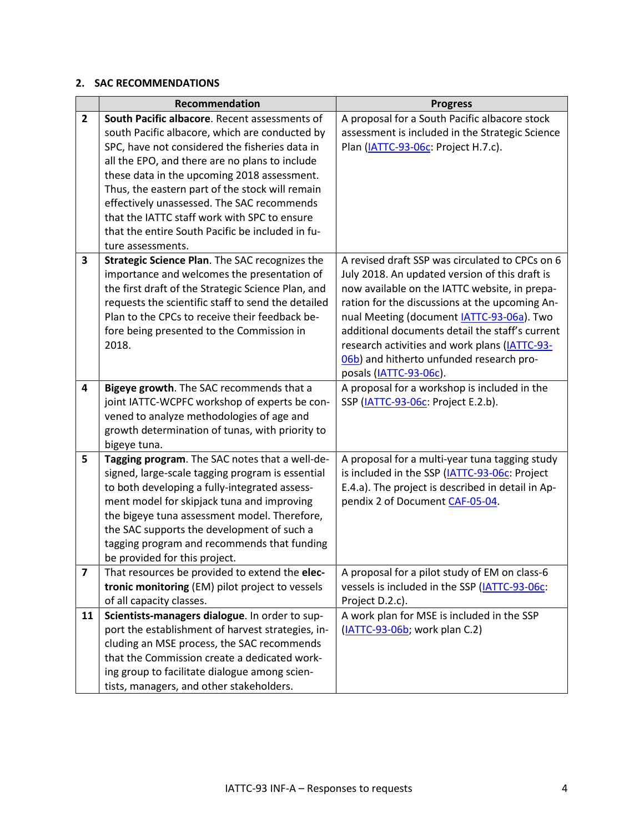### <span id="page-3-0"></span>**2. SAC RECOMMENDATIONS**

|                | Recommendation                                     | <b>Progress</b>                                   |
|----------------|----------------------------------------------------|---------------------------------------------------|
| $\overline{2}$ | South Pacific albacore. Recent assessments of      | A proposal for a South Pacific albacore stock     |
|                | south Pacific albacore, which are conducted by     | assessment is included in the Strategic Science   |
|                | SPC, have not considered the fisheries data in     | Plan (IATTC-93-06c: Project H.7.c).               |
|                | all the EPO, and there are no plans to include     |                                                   |
|                | these data in the upcoming 2018 assessment.        |                                                   |
|                | Thus, the eastern part of the stock will remain    |                                                   |
|                | effectively unassessed. The SAC recommends         |                                                   |
|                | that the IATTC staff work with SPC to ensure       |                                                   |
|                | that the entire South Pacific be included in fu-   |                                                   |
|                | ture assessments.                                  |                                                   |
| 3              | Strategic Science Plan. The SAC recognizes the     | A revised draft SSP was circulated to CPCs on 6   |
|                | importance and welcomes the presentation of        | July 2018. An updated version of this draft is    |
|                | the first draft of the Strategic Science Plan, and | now available on the IATTC website, in prepa-     |
|                | requests the scientific staff to send the detailed | ration for the discussions at the upcoming An-    |
|                | Plan to the CPCs to receive their feedback be-     | nual Meeting (document <b>IATTC-93-06a)</b> . Two |
|                | fore being presented to the Commission in          | additional documents detail the staff's current   |
|                | 2018.                                              | research activities and work plans (IATTC-93-     |
|                |                                                    | 06b) and hitherto unfunded research pro-          |
|                |                                                    | posals (IATTC-93-06c).                            |
| 4              | Bigeye growth. The SAC recommends that a           | A proposal for a workshop is included in the      |
|                | joint IATTC-WCPFC workshop of experts be con-      | SSP (IATTC-93-06c: Project E.2.b).                |
|                | vened to analyze methodologies of age and          |                                                   |
|                | growth determination of tunas, with priority to    |                                                   |
|                | bigeye tuna.                                       |                                                   |
| 5              | Tagging program. The SAC notes that a well-de-     | A proposal for a multi-year tuna tagging study    |
|                | signed, large-scale tagging program is essential   | is included in the SSP (IATTC-93-06c: Project     |
|                | to both developing a fully-integrated assess-      | E.4.a). The project is described in detail in Ap- |
|                | ment model for skipjack tuna and improving         | pendix 2 of Document CAF-05-04.                   |
|                | the bigeye tuna assessment model. Therefore,       |                                                   |
|                | the SAC supports the development of such a         |                                                   |
|                | tagging program and recommends that funding        |                                                   |
|                | be provided for this project.                      |                                                   |
| 7              | That resources be provided to extend the elec-     | A proposal for a pilot study of EM on class-6     |
|                | tronic monitoring (EM) pilot project to vessels    | vessels is included in the SSP (IATTC-93-06c:     |
|                | of all capacity classes.                           | Project D.2.c).                                   |
| 11             | Scientists-managers dialogue. In order to sup-     | A work plan for MSE is included in the SSP        |
|                | port the establishment of harvest strategies, in-  | (IATTC-93-06b; work plan C.2)                     |
|                | cluding an MSE process, the SAC recommends         |                                                   |
|                | that the Commission create a dedicated work-       |                                                   |
|                | ing group to facilitate dialogue among scien-      |                                                   |
|                | tists, managers, and other stakeholders.           |                                                   |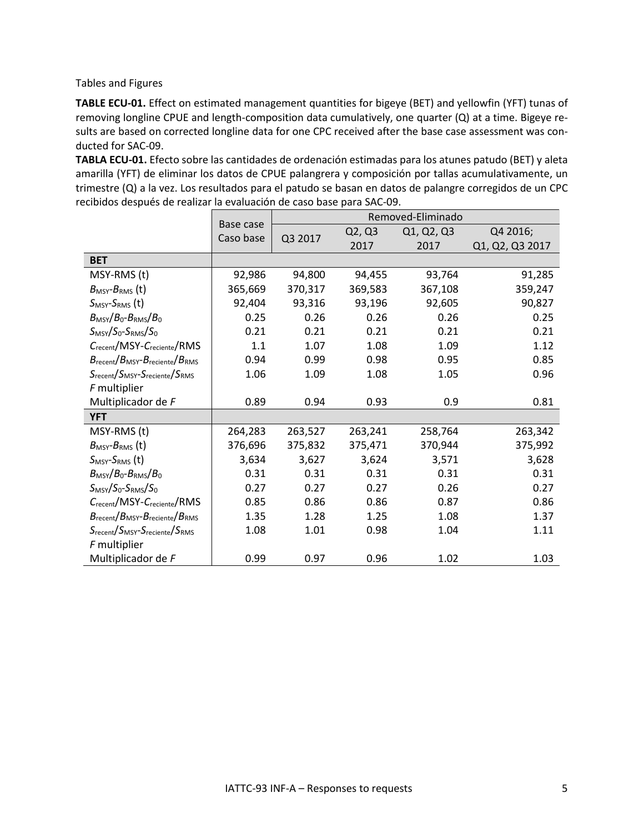<span id="page-4-0"></span>Tables and Figures

**TABLE ECU-01.** Effect on estimated management quantities for bigeye (BET) and yellowfin (YFT) tunas of removing longline CPUE and length-composition data cumulatively, one quarter (Q) at a time. Bigeye results are based on corrected longline data for one CPC received after the base case assessment was conducted for SAC-09.

**TABLA ECU-01.** Efecto sobre las cantidades de ordenación estimadas para los atunes patudo (BET) y aleta amarilla (YFT) de eliminar los datos de CPUE palangrera y composición por tallas acumulativamente, un trimestre (Q) a la vez. Los resultados para el patudo se basan en datos de palangre corregidos de un CPC recibidos después de realizar la evaluación de caso base para SAC-09.

|                                                                       | Base case |         |         | Removed-Eliminado |                 |
|-----------------------------------------------------------------------|-----------|---------|---------|-------------------|-----------------|
|                                                                       | Caso base | Q3 2017 | Q2, Q3  | Q1, Q2, Q3        | Q4 2016;        |
|                                                                       |           |         | 2017    | 2017              | Q1, Q2, Q3 2017 |
| <b>BET</b>                                                            |           |         |         |                   |                 |
| MSY-RMS (t)                                                           | 92,986    | 94,800  | 94,455  | 93,764            | 91,285          |
| $B_{\text{MSY}}-B_{\text{RMS}}$ (t)                                   | 365,669   | 370,317 | 369,583 | 367,108           | 359,247         |
| $S_{MSY}$ - $S_{RMS}$ (t)                                             | 92,404    | 93,316  | 93,196  | 92,605            | 90,827          |
| $B_{\text{MSY}}/B_0 - B_{\text{RMS}}/B_0$                             | 0.25      | 0.26    | 0.26    | 0.26              | 0.25            |
| $S_{MSY}/S_0-S_{RMS}/S_0$                                             | 0.21      | 0.21    | 0.21    | 0.21              | 0.21            |
| Crecent/MSY-Creciente/RMS                                             | 1.1       | 1.07    | 1.08    | 1.09              | 1.12            |
| $B_{\text{recent}}/B_{\text{MSY}}-B_{\text{reciente}}/B_{\text{RMS}}$ | 0.94      | 0.99    | 0.98    | 0.95              | 0.85            |
| $S_{recent}/S_{MSY} - S_{reciente}/S_{RMS}$                           | 1.06      | 1.09    | 1.08    | 1.05              | 0.96            |
| F multiplier                                                          |           |         |         |                   |                 |
| Multiplicador de F                                                    | 0.89      | 0.94    | 0.93    | 0.9               | 0.81            |
| <b>YFT</b>                                                            |           |         |         |                   |                 |
| MSY-RMS (t)                                                           | 264,283   | 263,527 | 263,241 | 258,764           | 263,342         |
| $B_{\text{MSY}}$ - $B_{\text{RMS}}$ (t)                               | 376,696   | 375,832 | 375,471 | 370,944           | 375,992         |
| $SMSY-SRMS$ (t)                                                       | 3,634     | 3,627   | 3,624   | 3,571             | 3,628           |
| $B_{\text{MSY}}/B_0 - B_{\text{RMS}}/B_0$                             | 0.31      | 0.31    | 0.31    | 0.31              | 0.31            |
| $S_{MSY}/S_0-S_{RMS}/S_0$                                             | 0.27      | 0.27    | 0.27    | 0.26              | 0.27            |
| $C_{recent}/$ MSY- $C_{recient}$ /RMS                                 | 0.85      | 0.86    | 0.86    | 0.87              | 0.86            |
| $B_{\text{recent}}/B_{\text{MSY}}-B_{\text{reciente}}/B_{\text{RMS}}$ | 1.35      | 1.28    | 1.25    | 1.08              | 1.37            |
| Srecent/SMSY-Sreciente/SRMS                                           | 1.08      | 1.01    | 0.98    | 1.04              | 1.11            |
| F multiplier                                                          |           |         |         |                   |                 |
| Multiplicador de F                                                    | 0.99      | 0.97    | 0.96    | 1.02              | 1.03            |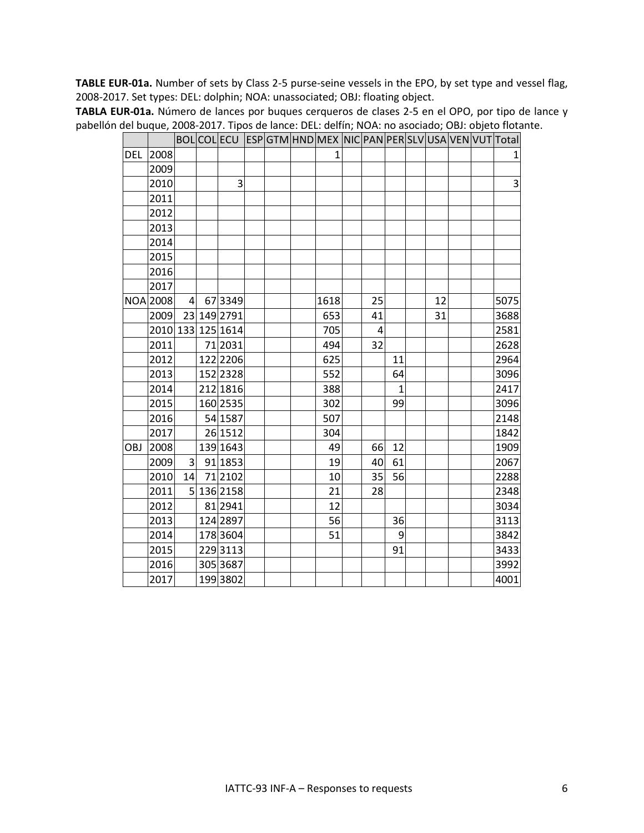**TABLE EUR-01a.** Number of sets by Class 2-5 purse-seine vessels in the EPO, by set type and vessel flag, 2008-2017. Set types: DEL: dolphin; NOA: unassociated; OBJ: floating object.

|            |                 |                |                   |  |              |    |              |    |  | BOL COL ECU  ESP GTM HND MEX  NIC PAN PER SLV USA VEN VUT Total |
|------------|-----------------|----------------|-------------------|--|--------------|----|--------------|----|--|-----------------------------------------------------------------|
|            | DEL 2008        |                |                   |  | $\mathbf{1}$ |    |              |    |  | 1                                                               |
|            | 2009            |                |                   |  |              |    |              |    |  |                                                                 |
|            | 2010            |                | 3                 |  |              |    |              |    |  | 3                                                               |
|            | 2011            |                |                   |  |              |    |              |    |  |                                                                 |
|            | 2012            |                |                   |  |              |    |              |    |  |                                                                 |
|            | 2013            |                |                   |  |              |    |              |    |  |                                                                 |
|            | 2014            |                |                   |  |              |    |              |    |  |                                                                 |
|            | 2015            |                |                   |  |              |    |              |    |  |                                                                 |
|            | 2016            |                |                   |  |              |    |              |    |  |                                                                 |
|            | 2017            |                |                   |  |              |    |              |    |  |                                                                 |
|            | <b>NOA 2008</b> | $\mathbf{A}$   | 67 3349           |  | 1618         | 25 |              | 12 |  | 5075                                                            |
|            | 2009            |                | 23 149 2791       |  | 653          | 41 |              | 31 |  | 3688                                                            |
|            |                 |                | 2010 133 125 1614 |  | 705          | 4  |              |    |  | 2581                                                            |
|            | 2011            |                | 71 2031           |  | 494          | 32 |              |    |  | 2628                                                            |
|            | 2012            |                | 122 2206          |  | 625          |    | 11           |    |  | 2964                                                            |
|            | 2013            |                | 152 2328          |  | 552          |    | 64           |    |  | 3096                                                            |
|            | 2014            |                | 212 1816          |  | 388          |    | $\mathbf{1}$ |    |  | 2417                                                            |
|            | 2015            |                | 160 2535          |  | 302          |    | 99           |    |  | 3096                                                            |
|            | 2016            |                | 54 1587           |  | 507          |    |              |    |  | 2148                                                            |
|            | 2017            |                | 26 1512           |  | 304          |    |              |    |  | 1842                                                            |
| <b>OBJ</b> | 2008            |                | 139 1643          |  | 49           | 66 | 12           |    |  | 1909                                                            |
|            | 2009            | $\overline{3}$ | 91 1853           |  | 19           | 40 | 61           |    |  | 2067                                                            |
|            | 2010            | 14             | 71 2102           |  | 10           | 35 | 56           |    |  | 2288                                                            |
|            | 2011            |                | 5 136 2158        |  | 21           | 28 |              |    |  | 2348                                                            |
|            | 2012            |                | 81 2941           |  | 12           |    |              |    |  | 3034                                                            |
|            | 2013            |                | 124 2897          |  | 56           |    | 36           |    |  | 3113                                                            |
|            | 2014            |                | 178 3604          |  | 51           |    | 9            |    |  | 3842                                                            |
|            | 2015            |                | 229 3113          |  |              |    | 91           |    |  | 3433                                                            |
|            | 2016            |                | 305 3687          |  |              |    |              |    |  | 3992                                                            |
|            | 2017            |                | 199 3802          |  |              |    |              |    |  | 4001                                                            |

**TABLA EUR-01a.** Número de lances por buques cerqueros de clases 2-5 en el OPO, por tipo de lance y pabellón del buque, 2008-2017. Tipos de lance: DEL: delfín; NOA: no asociado; OBJ: objeto flotante.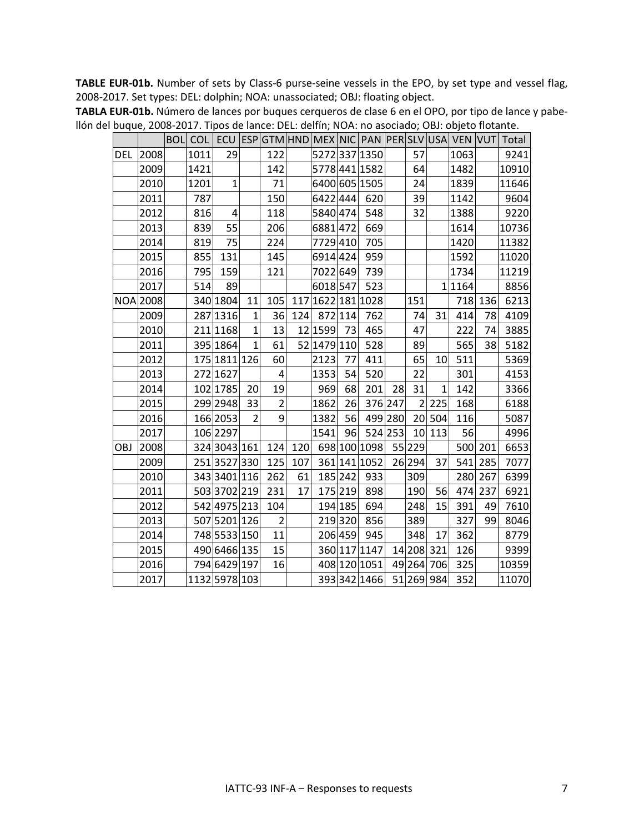**TABLE EUR-01b.** Number of sets by Class-6 purse-seine vessels in the EPO, by set type and vessel flag, 2008-2017. Set types: DEL: dolphin; NOA: unassociated; OBJ: floating object.

|            |                 |      |                |                |                |     |                   |         |               |         |                |              |           |         | BOL  COL   ECU  ESP GTM HND  MEX  NIC  PAN  PER SLV USA  VEN  VUT  Total |
|------------|-----------------|------|----------------|----------------|----------------|-----|-------------------|---------|---------------|---------|----------------|--------------|-----------|---------|--------------------------------------------------------------------------|
| <b>DEL</b> | 2008            | 1011 | 29             |                | 122            |     |                   |         | 52723371350   |         | 57             |              | 1063      |         | 9241                                                                     |
|            | 2009            | 1421 |                |                | 142            |     |                   |         | 57784411582   |         | 64             |              | 1482      |         | 10910                                                                    |
|            | 2010            | 1201 | $\mathbf{1}$   |                | 71             |     |                   |         | 6400 605 1505 |         | 24             |              | 1839      |         | 11646                                                                    |
|            | 2011            | 787  |                |                | 150            |     | 6422444           |         | 620           |         | 39             |              | 1142      |         | 9604                                                                     |
|            | 2012            | 816  | $\overline{4}$ |                | 118            |     | 5840 474          |         | 548           |         | 32             |              | 1388      |         | 9220                                                                     |
|            | 2013            | 839  | 55             |                | 206            |     | 6881472           |         | 669           |         |                |              | 1614      |         | 10736                                                                    |
|            | 2014            | 819  | 75             |                | 224            |     | 7729 410          |         | 705           |         |                |              | 1420      |         | 11382                                                                    |
|            | 2015            | 855  | 131            |                | 145            |     | 6914 424          |         | 959           |         |                |              | 1592      |         | 11020                                                                    |
|            | 2016            | 795  | 159            |                | 121            |     | 7022 649          |         | 739           |         |                |              | 1734      |         | 11219                                                                    |
|            | 2017            | 514  | 89             |                |                |     | 6018 547          |         | 523           |         |                |              | 1 1 1 6 4 |         | 8856                                                                     |
|            | <b>NOA 2008</b> |      | 340 1804       | 11             | 105            |     | 117 1622 181 1028 |         |               |         | 151            |              |           | 718 136 | 6213                                                                     |
|            | 2009            |      | 287 1316       | $\mathbf{1}$   | 36             |     | 124 872 114       |         | 762           |         | 74             | 31           | 414       | 78      | 4109                                                                     |
|            | 2010            |      | 211 1168       | $\mathbf{1}$   | 13             |     | 12 1599 73        |         | 465           |         | 47             |              | 222       | 74      | 3885                                                                     |
|            | 2011            |      | 395 1864       | $\mathbf{1}$   | 61             |     | 52 1479 110       |         | 528           |         | 89             |              | 565       | 38      | 5182                                                                     |
|            | 2012            |      | 175 1811 126   |                | 60             |     | 2123              | 77      | 411           |         | 65             | 10           | 511       |         | 5369                                                                     |
|            | 2013            |      | 272 1627       |                | $\overline{a}$ |     | 1353              | 54      | 520           |         | 22             |              | 301       |         | 4153                                                                     |
|            | 2014            |      | 102 1785       | 20             | 19             |     | 969               | 68      | 201           | 28      | 31             | $\mathbf{1}$ | 142       |         | 3366                                                                     |
|            | 2015            |      | 299 2948       | 33             | $\overline{2}$ |     | 1862              | 26      |               | 376 247 | $\overline{2}$ | 225          | 168       |         | 6188                                                                     |
|            | 2016            |      | 166 2053       | $\overline{2}$ | $\mathsf{g}$   |     | 1382              | 56      |               | 499 280 |                | 20 504       | 116       |         | 5087                                                                     |
|            | 2017            |      | 106 2297       |                |                |     | 1541              | 96      |               | 524 253 |                | 10 113       | 56        |         | 4996                                                                     |
| OBJ        | 2008            |      | 324 3043 161   |                | 124            |     | 120 698 100 1098  |         |               |         | 55 229         |              |           | 500 201 | 6653                                                                     |
|            | 2009            |      | 2513527330     |                | 125            | 107 |                   |         | 361 141 1052  |         | 26 294         | 37           |           | 541 285 | 7077                                                                     |
|            | 2010            |      | 343 3401 116   |                | 262            | 61  |                   |         | 185 242 933   |         | 309            |              |           | 280 267 | 6399                                                                     |
|            | 2011            |      | 503 3702 219   |                | 231            | 17  |                   |         | 175 219 898   |         | 190            | 56           |           | 474 237 | 6921                                                                     |
|            | 2012            |      | 542 4975 213   |                | 104            |     |                   | 194 185 | 694           |         | 248            | 15           | 391       | 49      | 7610                                                                     |
|            | 2013            |      | 507 5201 126   |                | $\overline{2}$ |     |                   | 219 320 | 856           |         | 389            |              | 327       | 99      | 8046                                                                     |
|            | 2014            |      | 748 5533 150   |                | 11             |     |                   | 206 459 | 945           |         | 348            | 17           | 362       |         | 8779                                                                     |
|            | 2015            |      | 490 6466 135   |                | 15             |     |                   |         | 360 117 1147  |         |                | 14 208 321   | 126       |         | 9399                                                                     |
|            | 2016            |      | 794 6429 197   |                | 16             |     |                   |         | 408 120 1051  |         |                | 49 264 706   | 325       |         | 10359                                                                    |
|            | 2017            |      | 1132 5978 103  |                |                |     |                   |         | 3933421466    |         |                | 51 269 984   | 352       |         | 11070                                                                    |

**TABLA EUR-01b.** Número de lances por buques cerqueros de clase 6 en el OPO, por tipo de lance y pabellón del buque, 2008-2017. Tipos de lance: DEL: delfín; NOA: no asociado; OBJ: objeto flotante.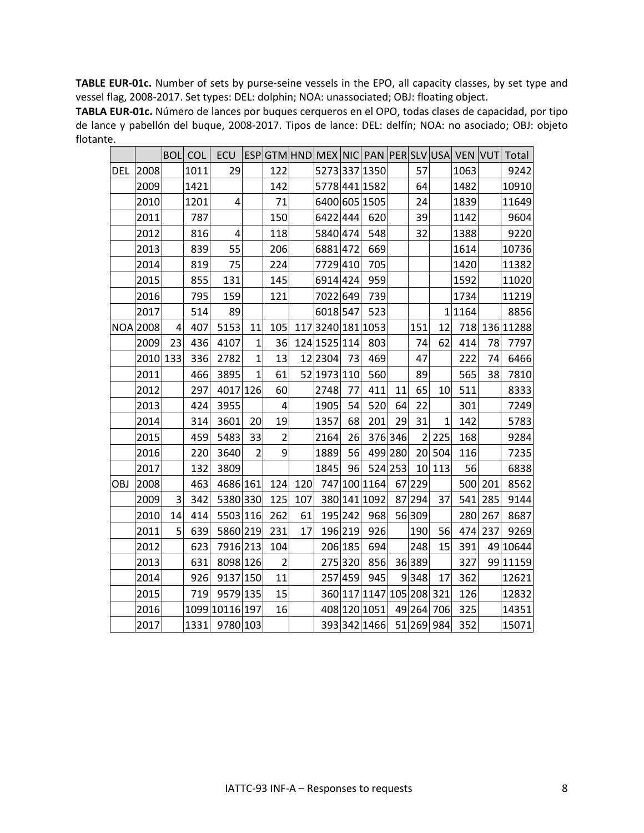**TABLE EUR-01c.** Number of sets by purse-seine vessels in the EPO, all capacity classes, by set type and vessel flag, 2008-2017. Set types: DEL: dolphin; NOA: unassociated; OBJ: floating object.

**TABLA EUR-01c.** Número de lances por buques cerqueros en el OPO, todas clases de capacidad, por tipo de lance y pabellón del buque, 2008-2017. Tipos de lance: DEL: delfín; NOA: no asociado; OBJ: objeto flotante.

|            |                 |                | <b>BOL COL</b> |                |                |                |     |              |         |                          |         |        |              |           |         | ECU   ESP GTM HND MEX NIC PAN PER SLV USA VEN VUT Total |
|------------|-----------------|----------------|----------------|----------------|----------------|----------------|-----|--------------|---------|--------------------------|---------|--------|--------------|-----------|---------|---------------------------------------------------------|
| <b>DEL</b> | 2008            |                | 1011           | 29             |                | 122            |     |              |         | 5273 337 1350            |         | 57     |              | 1063      |         | 9242                                                    |
|            | 2009            |                | 1421           |                |                | 142            |     |              |         | 57784411582              |         | 64     |              | 1482      |         | 10910                                                   |
|            | 2010            |                | 1201           | 4              |                | 71             |     |              |         | 6400 605 1505            |         | 24     |              | 1839      |         | 11649                                                   |
|            | 2011            |                | 787            |                |                | 150            |     | 6422444      |         | 620                      |         | 39     |              | 1142      |         | 9604                                                    |
|            | 2012            |                | 816            | 4              |                | 118            |     | 5840 474     |         | 548                      |         | 32     |              | 1388      |         | 9220                                                    |
|            | 2013            |                | 839            | 55             |                | 206            |     | 6881472      |         | 669                      |         |        |              | 1614      |         | 10736                                                   |
|            | 2014            |                | 819            | 75             |                | 224            |     | 7729410      |         | 705                      |         |        |              | 1420      |         | 11382                                                   |
|            | 2015            |                | 855            | 131            |                | 145            |     | 6914 424     |         | 959                      |         |        |              | 1592      |         | 11020                                                   |
|            | 2016            |                | 795            | 159            |                | 121            |     | 7022 649     |         | 739                      |         |        |              | 1734      |         | 11219                                                   |
|            | 2017            |                | 514            | 89             |                |                |     | 6018 547     |         | 523                      |         |        |              | 1 1 1 6 4 |         | 8856                                                    |
|            | <b>NOA</b> 2008 | $\overline{4}$ | 407            | 5153           | 11             | 105            |     |              |         | 1173240 181 1053         |         | 151    | 12           |           |         | 718 136 11288                                           |
|            | 2009            | 23             | 436            | 4107           | $\mathbf{1}$   | 36             |     | 124 1525 114 |         | 803                      |         | 74     | 62           | 414       | 78      | 7797                                                    |
|            | 2010 133        |                | 336            | 2782           | $\overline{1}$ | 13             |     | 12 2304      | 73      | 469                      |         | 47     |              | 222       | 74      | 6466                                                    |
|            | 2011            |                | 466            | 3895           | $\overline{1}$ | 61             |     | 52 1973 110  |         | 560                      |         | 89     |              | 565       | 38      | 7810                                                    |
|            | 2012            |                | 297            | 4017 126       |                | 60             |     | 2748         | 77      | 411                      | 11      | 65     | 10           | 511       |         | 8333                                                    |
|            | 2013            |                | 424            | 3955           |                | $\overline{4}$ |     | 1905         | 54      | 520                      | 64      | 22     |              | 301       |         | 7249                                                    |
|            | 2014            |                | 314            | 3601           | 20             | 19             |     | 1357         | 68      | 201                      | 29      | 31     | $\mathbf{1}$ | 142       |         | 5783                                                    |
|            | 2015            |                | 459            | 5483           | 33             | $\overline{2}$ |     | 2164         | 26      |                          | 376 346 |        | 2 225        | 168       |         | 9284                                                    |
|            | 2016            |                | 220            | 3640           | $\overline{2}$ | 9              |     | 1889         | 56      |                          | 499 280 |        | 20 504       | 116       |         | 7235                                                    |
|            | 2017            |                | 132            | 3809           |                |                |     | 1845         | 96      |                          | 524 253 |        | 10 113       | 56        |         | 6838                                                    |
| <b>OBJ</b> | 2008            |                | 463            | 4686 161       |                | 124            | 120 |              |         | 747 100 1164             |         | 67 229 |              |           | 500 201 | 8562                                                    |
|            | 2009            | 3              | 342            | 5380 330       |                | 125            | 107 |              |         | 380 141 1092             |         | 87 294 | 37           | 541       | 285     | 9144                                                    |
|            | 2010            | 14             | 414            | 5503 116       |                | 262            | 61  |              | 195 242 | 968                      |         | 56 309 |              | 280       | 267     | 8687                                                    |
|            | 2011            | 5              | 639            | 5860 219       |                | 231            | 17  |              | 196 219 | 926                      |         | 190    | 56           | 474       | 237     | 9269                                                    |
|            | 2012            |                | 623            | 7916 213       |                | 104            |     |              | 206 185 | 694                      |         | 248    | 15           | 391       |         | 49 10 644                                               |
|            | 2013            |                | 631            | 8098 126       |                | $\overline{2}$ |     |              | 275 320 | 856                      |         | 36 389 |              | 327       |         | 99 11159                                                |
|            | 2014            |                | 926            | 9137 150       |                | 11             |     |              | 257 459 | 945                      |         | 9348   | 17           | 362       |         | 12621                                                   |
|            | 2015            |                | 719            | 9579 135       |                | 15             |     |              |         | 360 117 1147 105 208 321 |         |        |              | 126       |         | 12832                                                   |
|            | 2016            |                |                | 1099 10116 197 |                | 16             |     |              |         | 408 120 1051             |         |        | 49 264 706   | 325       |         | 14351                                                   |
|            | 2017            |                | 1331           | 9780 103       |                |                |     |              |         | 393 342 1466 51 269 984  |         |        |              | 352       |         | 15071                                                   |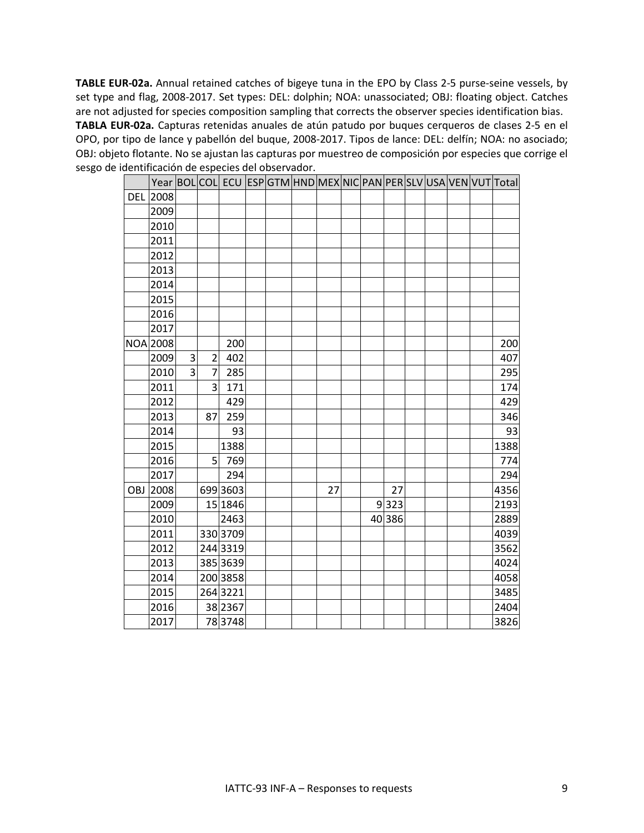**TABLE EUR-02a.** Annual retained catches of bigeye tuna in the EPO by Class 2-5 purse-seine vessels, by set type and flag, 2008-2017. Set types: DEL: dolphin; NOA: unassociated; OBJ: floating object. Catches are not adjusted for species composition sampling that corrects the observer species identification bias. **TABLA EUR-02a.** Capturas retenidas anuales de atún patudo por buques cerqueros de clases 2-5 en el OPO, por tipo de lance y pabellón del buque, 2008-2017. Tipos de lance: DEL: delfín; NOA: no asociado; OBJ: objeto flotante. No se ajustan las capturas por muestreo de composición por especies que corrige el sesgo de identificación de especies del observador.

|            |          |                |                |          |  |    |  |        |  |  | Year BOLCOL ECU ESPGTM HND MEX NIC PAN PER SLV USA VEN VUT Total |
|------------|----------|----------------|----------------|----------|--|----|--|--------|--|--|------------------------------------------------------------------|
| <b>DEL</b> | 2008     |                |                |          |  |    |  |        |  |  |                                                                  |
|            | 2009     |                |                |          |  |    |  |        |  |  |                                                                  |
|            | 2010     |                |                |          |  |    |  |        |  |  |                                                                  |
|            | 2011     |                |                |          |  |    |  |        |  |  |                                                                  |
|            | 2012     |                |                |          |  |    |  |        |  |  |                                                                  |
|            | 2013     |                |                |          |  |    |  |        |  |  |                                                                  |
|            | 2014     |                |                |          |  |    |  |        |  |  |                                                                  |
|            | 2015     |                |                |          |  |    |  |        |  |  |                                                                  |
|            | 2016     |                |                |          |  |    |  |        |  |  |                                                                  |
|            | 2017     |                |                |          |  |    |  |        |  |  |                                                                  |
|            | NOA 2008 |                |                | 200      |  |    |  |        |  |  | 200                                                              |
|            | 2009     | 3              | $\overline{2}$ | 402      |  |    |  |        |  |  | 407                                                              |
|            | 2010     | $\overline{3}$ | $\overline{7}$ | 285      |  |    |  |        |  |  | 295                                                              |
|            | 2011     |                | $\overline{3}$ | 171      |  |    |  |        |  |  | 174                                                              |
|            | 2012     |                |                | 429      |  |    |  |        |  |  | 429                                                              |
|            | 2013     |                | 87             | 259      |  |    |  |        |  |  | 346                                                              |
|            | 2014     |                |                | 93       |  |    |  |        |  |  | 93                                                               |
|            | 2015     |                |                | 1388     |  |    |  |        |  |  | 1388                                                             |
|            | 2016     |                | 5 <sup>1</sup> | 769      |  |    |  |        |  |  | 774                                                              |
|            | 2017     |                |                | 294      |  |    |  |        |  |  | 294                                                              |
| OBJ        | 2008     |                |                | 699 3603 |  | 27 |  | 27     |  |  | 4356                                                             |
|            | 2009     |                |                | 15 1846  |  |    |  | 9 323  |  |  | 2193                                                             |
|            | 2010     |                |                | 2463     |  |    |  | 40 386 |  |  | 2889                                                             |
|            | 2011     |                |                | 330 3709 |  |    |  |        |  |  | 4039                                                             |
|            | 2012     |                |                | 244 3319 |  |    |  |        |  |  | 3562                                                             |
|            | 2013     |                |                | 385 3639 |  |    |  |        |  |  | 4024                                                             |
|            | 2014     |                |                | 200 3858 |  |    |  |        |  |  | 4058                                                             |
|            | 2015     |                |                | 264 3221 |  |    |  |        |  |  | 3485                                                             |
|            | 2016     |                |                | 38 2367  |  |    |  |        |  |  | 2404                                                             |
|            | 2017     |                |                | 783748   |  |    |  |        |  |  | 3826                                                             |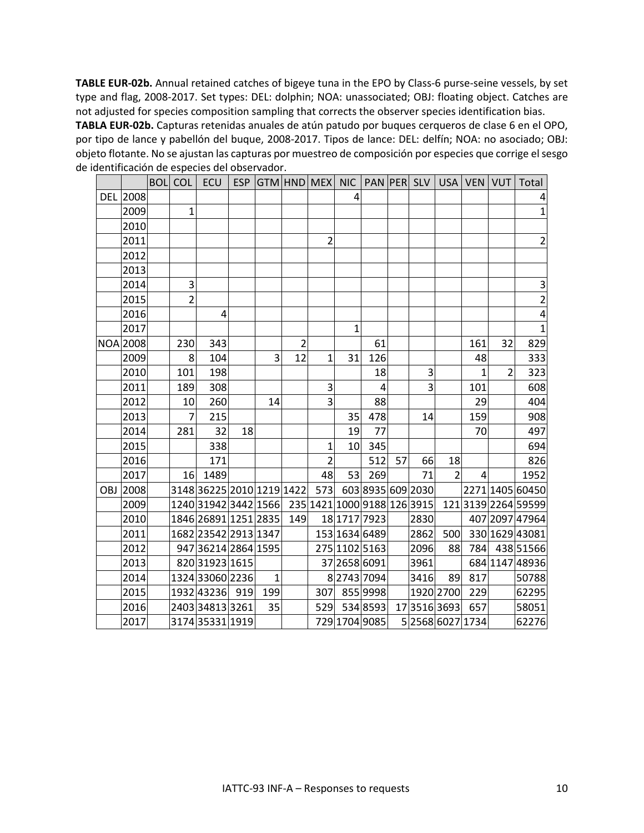**TABLE EUR-02b.** Annual retained catches of bigeye tuna in the EPO by Class-6 purse-seine vessels, by set type and flag, 2008-2017. Set types: DEL: dolphin; NOA: unassociated; OBJ: floating object. Catches are not adjusted for species composition sampling that corrects the observer species identification bias.

**TABLA EUR-02b.** Capturas retenidas anuales de atún patudo por buques cerqueros de clase 6 en el OPO, por tipo de lance y pabellón del buque, 2008-2017. Tipos de lance: DEL: delfín; NOA: no asociado; OBJ: objeto flotante. No se ajustan las capturas por muestreo de composición por especies que corrige el sesgo de identificación de especies del observador.

|                 | <b>BOL</b> COL | ECU                                              |    |              |                |                |                       |                |    |      |                |                |                | ESP GTM HND MEX NIC PAN PER SLV USA VEN VUT Total |
|-----------------|----------------|--------------------------------------------------|----|--------------|----------------|----------------|-----------------------|----------------|----|------|----------------|----------------|----------------|---------------------------------------------------|
| <b>DEL 2008</b> |                |                                                  |    |              |                |                | 4                     |                |    |      |                |                |                | 4                                                 |
| 2009            | $\mathbf{1}$   |                                                  |    |              |                |                |                       |                |    |      |                |                |                | $\mathbf{1}$                                      |
| 2010            |                |                                                  |    |              |                |                |                       |                |    |      |                |                |                |                                                   |
| 2011            |                |                                                  |    |              |                | $\overline{2}$ |                       |                |    |      |                |                |                | $\overline{2}$                                    |
| 2012            |                |                                                  |    |              |                |                |                       |                |    |      |                |                |                |                                                   |
| 2013            |                |                                                  |    |              |                |                |                       |                |    |      |                |                |                |                                                   |
| 2014            | 3              |                                                  |    |              |                |                |                       |                |    |      |                |                |                | 3                                                 |
| 2015            | $\overline{2}$ |                                                  |    |              |                |                |                       |                |    |      |                |                |                | $\overline{2}$                                    |
| 2016            |                | 4                                                |    |              |                |                |                       |                |    |      |                |                |                | 4                                                 |
| 2017            |                |                                                  |    |              |                |                | 1                     |                |    |      |                |                |                | 1                                                 |
| <b>NOA</b> 2008 | 230            | 343                                              |    |              | $\overline{2}$ |                |                       | 61             |    |      |                | 161            | 32             | 829                                               |
| 2009            | 8              | 104                                              |    | 3            | 12             | $\mathbf{1}$   | 31                    | 126            |    |      |                | 48             |                | 333                                               |
| 2010            | 101            | 198                                              |    |              |                |                |                       | 18             |    | 3    |                | $\mathbf{1}$   | $\overline{2}$ | 323                                               |
| 2011            | 189            | 308                                              |    |              |                | 3              |                       | $\overline{4}$ |    | 3    |                | 101            |                | 608                                               |
| 2012            | 10             | 260                                              |    | 14           |                | 3              |                       | 88             |    |      |                | 29             |                | 404                                               |
| 2013            | $\overline{7}$ | 215                                              |    |              |                |                | 35                    | 478            |    | 14   |                | 159            |                | 908                                               |
| 2014            | 281            | 32                                               | 18 |              |                |                | 19                    | 77             |    |      |                | 70             |                | 497                                               |
| 2015            |                | 338                                              |    |              |                | $\mathbf{1}$   | 10                    | 345            |    |      |                |                |                | 694                                               |
| 2016            |                | 171                                              |    |              |                | $\overline{2}$ |                       | 512            | 57 | 66   | 18             |                |                | 826                                               |
| 2017            |                | 16 1489                                          |    |              |                | 48             | 53                    | 269            |    | 71   | $\overline{2}$ | $\overline{4}$ |                | 1952                                              |
| OBJ 2008        |                | 314836225201012191422                            |    |              |                |                | 573 603 8935 609 2030 |                |    |      |                |                |                | 2271 1405 60450                                   |
| 2009            |                | 1240 31942 3442 1566 235 1421 1000 9188 126 3915 |    |              |                |                |                       |                |    |      |                |                |                | 1213139226459599                                  |
| 2010            |                | 1846 26891 1251 2835                             |    |              | 149            |                | 18 1717 7923          |                |    | 2830 |                |                |                | 407 2097 47964                                    |
| 2011            |                | 1682 23542 2913 1347                             |    |              |                |                | 153 1634 6489         |                |    | 2862 | 500            |                |                | 330 1629 43081                                    |
| 2012            |                | 947 36214 2864 1595                              |    |              |                |                | 275 1102 5163         |                |    | 2096 | 88             |                |                | 784 438 51566                                     |
| 2013            |                | 820 31923 1615                                   |    |              |                |                | 37 2658 6091          |                |    | 3961 |                |                |                | 684 1147 48936                                    |
| 2014            |                | 1324 33060 2236                                  |    | $\mathbf{1}$ |                |                | 8 2743 7094           |                |    | 3416 | 89             | 817            |                | 50788                                             |
| 2015            |                | 1932 43236 919                                   |    | 199          |                |                | 307 855 9998          |                |    |      | 1920 2700      | 229            |                | 62295                                             |
| 2016            |                | 2403 34813 3261                                  |    | 35           |                |                | 529 534 8593          |                |    |      | 1735163693     | 657            |                | 58051                                             |
| 2017            |                | 3174353311919                                    |    |              |                |                | 729 1704 9085         |                |    |      | 5256860271734  |                |                | 62276                                             |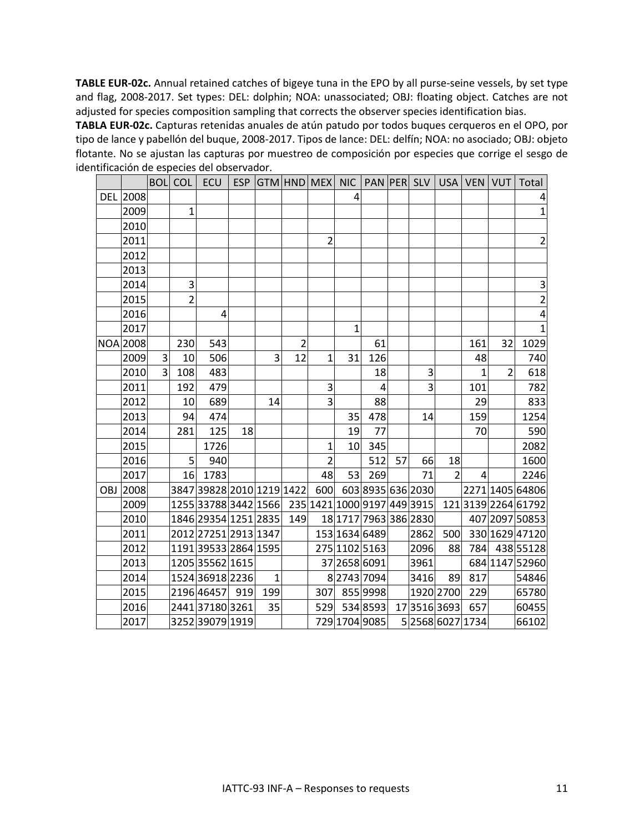**TABLE EUR-02c.** Annual retained catches of bigeye tuna in the EPO by all purse-seine vessels, by set type and flag, 2008-2017. Set types: DEL: dolphin; NOA: unassociated; OBJ: floating object. Catches are not adjusted for species composition sampling that corrects the observer species identification bias.

**TABLA EUR-02c.** Capturas retenidas anuales de atún patudo por todos buques cerqueros en el OPO, por tipo de lance y pabellón del buque, 2008-2017. Tipos de lance: DEL: delfín; NOA: no asociado; OBJ: objeto flotante. No se ajustan las capturas por muestreo de composición por especies que corrige el sesgo de identificación de especies del observador.

|     |                 |                | <b>BOL</b> COL |                                                  |    |              |                |                |                       |     |    |      |                |                  |                | ECU   ESP GTM HND MEX NIC   PAN PER SLV   USA   VEN   VUT   Total |
|-----|-----------------|----------------|----------------|--------------------------------------------------|----|--------------|----------------|----------------|-----------------------|-----|----|------|----------------|------------------|----------------|-------------------------------------------------------------------|
|     | DEL 2008        |                |                |                                                  |    |              |                |                | 4                     |     |    |      |                |                  |                | 4                                                                 |
|     | 2009            |                | $\overline{1}$ |                                                  |    |              |                |                |                       |     |    |      |                |                  |                | $\mathbf{1}$                                                      |
|     | 2010            |                |                |                                                  |    |              |                |                |                       |     |    |      |                |                  |                |                                                                   |
|     | 2011            |                |                |                                                  |    |              |                | $\overline{2}$ |                       |     |    |      |                |                  |                | $\overline{2}$                                                    |
|     | 2012            |                |                |                                                  |    |              |                |                |                       |     |    |      |                |                  |                |                                                                   |
|     | 2013            |                |                |                                                  |    |              |                |                |                       |     |    |      |                |                  |                |                                                                   |
|     | 2014            |                | 3              |                                                  |    |              |                |                |                       |     |    |      |                |                  |                | 3                                                                 |
|     | 2015            |                | $\overline{2}$ |                                                  |    |              |                |                |                       |     |    |      |                |                  |                | $\overline{2}$                                                    |
|     | 2016            |                |                | $\overline{4}$                                   |    |              |                |                |                       |     |    |      |                |                  |                | 4                                                                 |
|     | 2017            |                |                |                                                  |    |              |                |                | 1                     |     |    |      |                |                  |                | $\mathbf{1}$                                                      |
|     | <b>NOA 2008</b> |                | 230            | 543                                              |    |              | $\overline{2}$ |                |                       | 61  |    |      |                | 161              | 32             | 1029                                                              |
|     | 2009            | $\overline{3}$ | 10             | 506                                              |    | 3            | 12             | $\mathbf{1}$   | 31                    | 126 |    |      |                | 48               |                | 740                                                               |
|     | 2010            | 3              | 108            | 483                                              |    |              |                |                |                       | 18  |    | 3    |                | $\mathbf{1}$     | $\overline{2}$ | 618                                                               |
|     | 2011            |                | 192            | 479                                              |    |              |                | 3              |                       | 4   |    | 3    |                | 101              |                | 782                                                               |
|     | 2012            |                | 10             | 689                                              |    | 14           |                | 3              |                       | 88  |    |      |                | 29               |                | 833                                                               |
|     | 2013            |                | 94             | 474                                              |    |              |                |                | 35                    | 478 |    | 14   |                | 159              |                | 1254                                                              |
|     | 2014            |                | 281            | 125                                              | 18 |              |                |                | 19                    | 77  |    |      |                | 70               |                | 590                                                               |
|     | 2015            |                |                | 1726                                             |    |              |                | $\mathbf{1}$   | 10                    | 345 |    |      |                |                  |                | 2082                                                              |
|     | 2016            |                | 5              | 940                                              |    |              |                | $\overline{2}$ |                       | 512 | 57 | 66   | 18             |                  |                | 1600                                                              |
|     | 2017            |                |                | 16 1783                                          |    |              |                | 48             | 53                    | 269 |    | 71   | $\overline{2}$ | $\overline{4}$   |                | 2246                                                              |
| OBJ | 2008            |                |                | 3847 39828 2010 1219 1422                        |    |              |                |                | 600 603 8935 636 2030 |     |    |      |                |                  |                | 2271 1405 64806                                                   |
|     | 2009            |                |                | 1255 33788 3442 1566 235 1421 1000 9197 449 3915 |    |              |                |                |                       |     |    |      |                |                  |                | 121 3139 2264 61792                                               |
|     | 2010            |                |                | 1846 29354 1251 2835                             |    |              | 149            |                | 18 1717 7963 386 2830 |     |    |      |                |                  |                | 407 2097 50853                                                    |
|     | 2011            |                |                | 2012 27251 2913 1347                             |    |              |                |                | 153 1634 6489         |     |    | 2862 | 500            |                  |                | 330 1629 47120                                                    |
|     | 2012            |                |                | 1191 39533 2864 1595                             |    |              |                |                | 275 1102 5163         |     |    | 2096 | 88             | 784              |                | 438 55128                                                         |
|     | 2013            |                |                | 1205 35562 1615                                  |    |              |                |                | 37 2658 6091          |     |    | 3961 |                |                  |                | 684 1147 52960                                                    |
|     | 2014            |                |                | 1524 36918 2236                                  |    | $\mathbf{1}$ |                |                | 827437094             |     |    | 3416 | 89             | 817              |                | 54846                                                             |
|     | 2015            |                |                | 2196 46457 919                                   |    | <b>199</b>   |                |                | 307 855 9998          |     |    |      | 1920 2700      | 229              |                | 65780                                                             |
|     | 2016            |                |                | 2441 37180 3261                                  |    | 35           |                |                | 529 534 8593          |     |    |      | 1735163693     | 657              |                | 60455                                                             |
|     | 2017            |                |                | 3252 39079 1919                                  |    |              |                |                | 729 1704 9085         |     |    |      |                | 5 2568 6027 1734 |                | 66102                                                             |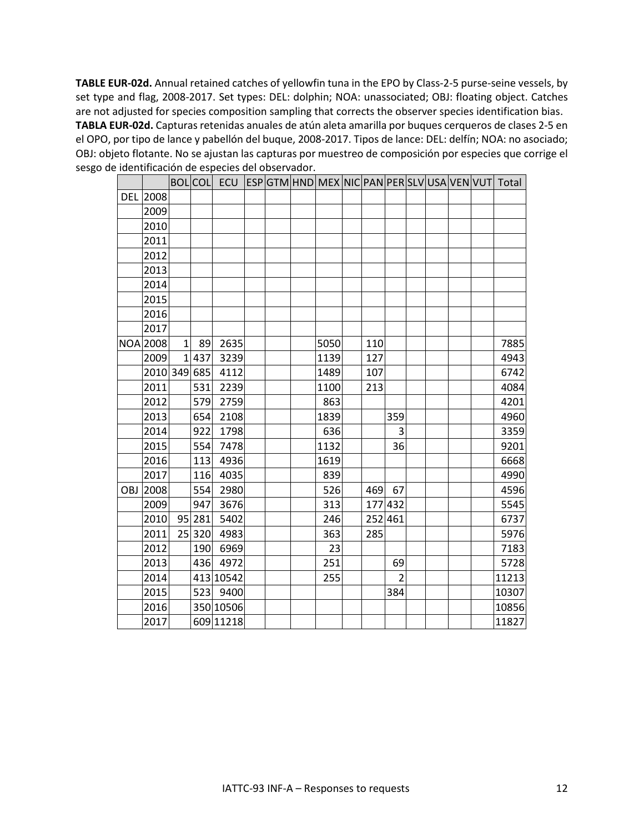**TABLE EUR-02d.** Annual retained catches of yellowfin tuna in the EPO by Class-2-5 purse-seine vessels, by set type and flag, 2008-2017. Set types: DEL: dolphin; NOA: unassociated; OBJ: floating object. Catches are not adjusted for species composition sampling that corrects the observer species identification bias. **TABLA EUR-02d.** Capturas retenidas anuales de atún aleta amarilla por buques cerqueros de clases 2-5 en el OPO, por tipo de lance y pabellón del buque, 2008-2017. Tipos de lance: DEL: delfín; NOA: no asociado; OBJ: objeto flotante. No se ajustan las capturas por muestreo de composición por especies que corrige el sesgo de identificación de especies del observador.

|     |                 |              |     | BOLCOL ECU ESPGTM HND MEX NIC PAN PER SLV USA VEN VUT Total |  |      |     |                |  |  |       |
|-----|-----------------|--------------|-----|-------------------------------------------------------------|--|------|-----|----------------|--|--|-------|
|     | <b>DEL 2008</b> |              |     |                                                             |  |      |     |                |  |  |       |
|     | 2009            |              |     |                                                             |  |      |     |                |  |  |       |
|     | 2010            |              |     |                                                             |  |      |     |                |  |  |       |
|     | 2011            |              |     |                                                             |  |      |     |                |  |  |       |
|     | 2012            |              |     |                                                             |  |      |     |                |  |  |       |
|     | 2013            |              |     |                                                             |  |      |     |                |  |  |       |
|     | 2014            |              |     |                                                             |  |      |     |                |  |  |       |
|     | 2015            |              |     |                                                             |  |      |     |                |  |  |       |
|     | 2016            |              |     |                                                             |  |      |     |                |  |  |       |
|     | 2017            |              |     |                                                             |  |      |     |                |  |  |       |
|     | NOA 2008        | $\mathbf{1}$ | 89  | 2635                                                        |  | 5050 | 110 |                |  |  | 7885  |
|     | 2009            | $1\vert$     | 437 | 3239                                                        |  | 1139 | 127 |                |  |  | 4943  |
|     | 2010 349        |              | 685 | 4112                                                        |  | 1489 | 107 |                |  |  | 6742  |
|     | 2011            |              | 531 | 2239                                                        |  | 1100 | 213 |                |  |  | 4084  |
|     | 2012            |              | 579 | 2759                                                        |  | 863  |     |                |  |  | 4201  |
|     | 2013            |              | 654 | 2108                                                        |  | 1839 |     | 359            |  |  | 4960  |
|     | 2014            |              | 922 | 1798                                                        |  | 636  |     | 3              |  |  | 3359  |
|     | 2015            |              | 554 | 7478                                                        |  | 1132 |     | 36             |  |  | 9201  |
|     | 2016            |              | 113 | 4936                                                        |  | 1619 |     |                |  |  | 6668  |
|     | 2017            |              | 116 | 4035                                                        |  | 839  |     |                |  |  | 4990  |
| OBJ | 2008            |              | 554 | 2980                                                        |  | 526  | 469 | 67             |  |  | 4596  |
|     | 2009            |              | 947 | 3676                                                        |  | 313  |     | 177 432        |  |  | 5545  |
|     | 2010            | 95           | 281 | 5402                                                        |  | 246  |     | 252 461        |  |  | 6737  |
|     | 2011            | 25           | 320 | 4983                                                        |  | 363  | 285 |                |  |  | 5976  |
|     | 2012            |              | 190 | 6969                                                        |  | 23   |     |                |  |  | 7183  |
|     | 2013            |              | 436 | 4972                                                        |  | 251  |     | 69             |  |  | 5728  |
|     | 2014            |              |     | 413 10542                                                   |  | 255  |     | $\overline{2}$ |  |  | 11213 |
|     | 2015            |              |     | 523 9400                                                    |  |      |     | 384            |  |  | 10307 |
|     | 2016            |              |     | 350 10506                                                   |  |      |     |                |  |  | 10856 |
|     | 2017            |              |     | 609 11218                                                   |  |      |     |                |  |  | 11827 |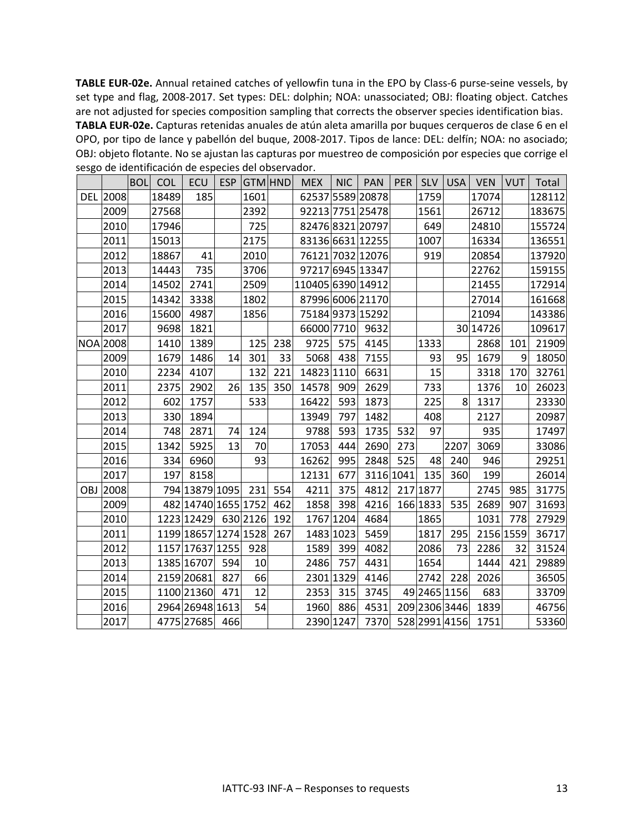**TABLE EUR-02e.** Annual retained catches of yellowfin tuna in the EPO by Class-6 purse-seine vessels, by set type and flag, 2008-2017. Set types: DEL: dolphin; NOA: unassociated; OBJ: floating object. Catches are not adjusted for species composition sampling that corrects the observer species identification bias.

**TABLA EUR-02e.** Capturas retenidas anuales de atún aleta amarilla por buques cerqueros de clase 6 en el OPO, por tipo de lance y pabellón del buque, 2008-2017. Tipos de lance: DEL: delfín; NOA: no asociado; OBJ: objeto flotante. No se ajustan las capturas por muestreo de composición por especies que corrige el sesgo de identificación de especies del observador.

|            |                 | <b>BOL</b> | <b>COL</b> | <b>ECU</b>           |     | ESP GTM HND |     | <b>MEX</b>        | <b>NIC</b> | <b>PAN</b>       | <b>PER</b> |               | SLV   USA      | <b>VEN</b> | VUT | Total  |
|------------|-----------------|------------|------------|----------------------|-----|-------------|-----|-------------------|------------|------------------|------------|---------------|----------------|------------|-----|--------|
|            | DEL 2008        |            | 18489      | 185                  |     | 1601        |     |                   |            | 62537 5589 20878 |            | 1759          |                | 17074      |     | 128112 |
|            | 2009            |            | 27568      |                      |     | 2392        |     |                   |            | 92213 7751 25478 |            | 1561          |                | 26712      |     | 183675 |
|            | 2010            |            | 17946      |                      |     | 725         |     |                   |            | 82476832120797   |            | 649           |                | 24810      |     | 155724 |
|            | 2011            |            | 15013      |                      |     | 2175        |     |                   |            | 83136 6631 12255 |            | 1007          |                | 16334      |     | 136551 |
|            | 2012            |            | 18867      | 41                   |     | 2010        |     |                   |            | 76121 7032 12076 |            | 919           |                | 20854      |     | 137920 |
|            | 2013            |            | 14443      | 735                  |     | 3706        |     |                   |            | 97217 6945 13347 |            |               |                | 22762      |     | 159155 |
|            | 2014            |            | 14502      | 2741                 |     | 2509        |     | 110405 6390 14912 |            |                  |            |               |                | 21455      |     | 172914 |
|            | 2015            |            | 14342      | 3338                 |     | 1802        |     |                   |            | 87996 6006 21170 |            |               |                | 27014      |     | 161668 |
|            | 2016            |            | 15600      | 4987                 |     | 1856        |     |                   |            | 75184937315292   |            |               |                | 21094      |     | 143386 |
|            | 2017            |            | 9698       | 1821                 |     |             |     | 66000 7710        |            | 9632             |            |               |                | 30 14726   |     | 109617 |
|            | <b>NOA 2008</b> |            | 1410       | 1389                 |     | 125         | 238 | 9725              | 575        | 4145             |            | 1333          |                | 2868       | 101 | 21909  |
|            | 2009            |            | 1679       | 1486                 | 14  | 301         | 33  | 5068              | 438        | 7155             |            | 93            | 95             | 1679       | 9   | 18050  |
|            | 2010            |            | 2234       | 4107                 |     | 132         | 221 | 14823 1110        |            | 6631             |            | 15            |                | 3318       | 170 | 32761  |
|            | 2011            |            | 2375       | 2902                 | 26  | 135         | 350 | 14578             | 909        | 2629             |            | 733           |                | 1376       | 10  | 26023  |
|            | 2012            |            | 602        | 1757                 |     | 533         |     | 16422             | 593        | 1873             |            | 225           | 8 <sup>1</sup> | 1317       |     | 23330  |
|            | 2013            |            | 330        | 1894                 |     |             |     | 13949             | 797        | 1482             |            | 408           |                | 2127       |     | 20987  |
|            | 2014            |            | 748        | 2871                 | 74  | 124         |     | 9788              | 593        | 1735             | 532        | 97            |                | 935        |     | 17497  |
|            | 2015            |            | 1342       | 5925                 | 13  | 70          |     | 17053             | 444        | 2690             | 273        |               | 2207           | 3069       |     | 33086  |
|            | 2016            |            | 334        | 6960                 |     | 93          |     | 16262             | 995        | 2848             | 525        | 48            | 240            | 946        |     | 29251  |
|            | 2017            |            | 197        | 8158                 |     |             |     | 12131             | 677        | 3116 1041        |            | 135           | 360            | 199        |     | 26014  |
| <b>OBJ</b> | 2008            |            |            | 794 13879 1095       |     | 231         | 554 | 4211              | 375        | 4812             |            | 217 1877      |                | 2745       | 985 | 31775  |
|            | 2009            |            |            | 482 14740 1655 1752  |     |             | 462 | 1858              | 398        | 4216             |            | 166 1833      | 535            | 2689       | 907 | 31693  |
|            | 2010            |            |            | 1223 12429           |     | 630 2126    | 192 |                   | 1767 1204  | 4684             |            | 1865          |                | 1031       | 778 | 27929  |
|            | 2011            |            |            | 1199 18657 1274 1528 |     |             | 267 |                   | 1483 1023  | 5459             |            | 1817          | 295            | 2156 1559  |     | 36717  |
|            | 2012            |            |            | 1157 17637 1255      |     | 928         |     | 1589              | 399        | 4082             |            | 2086          | 73             | 2286       | 32  | 31524  |
|            | 2013            |            |            | 1385 16707           | 594 | 10          |     | 2486              | 757        | 4431             |            | 1654          |                | 1444       | 421 | 29889  |
|            | 2014            |            |            | 2159 20681           | 827 | 66          |     |                   | 2301 1329  | 4146             |            | 2742          | 228            | 2026       |     | 36505  |
|            | 2015            |            |            | 1100 21360           | 471 | 12          |     | 2353              | 315        | 3745             |            | 49 2465 1156  |                | 683        |     | 33709  |
|            | 2016            |            |            | 2964 26948 1613      |     | 54          |     | 1960              | 886        | 4531             |            | 209 2306 3446 |                | 1839       |     | 46756  |
|            | 2017            |            |            | 4775 27685           | 466 |             |     |                   | 2390 1247  | 7370             |            | 528 2991 4156 |                | 1751       |     | 53360  |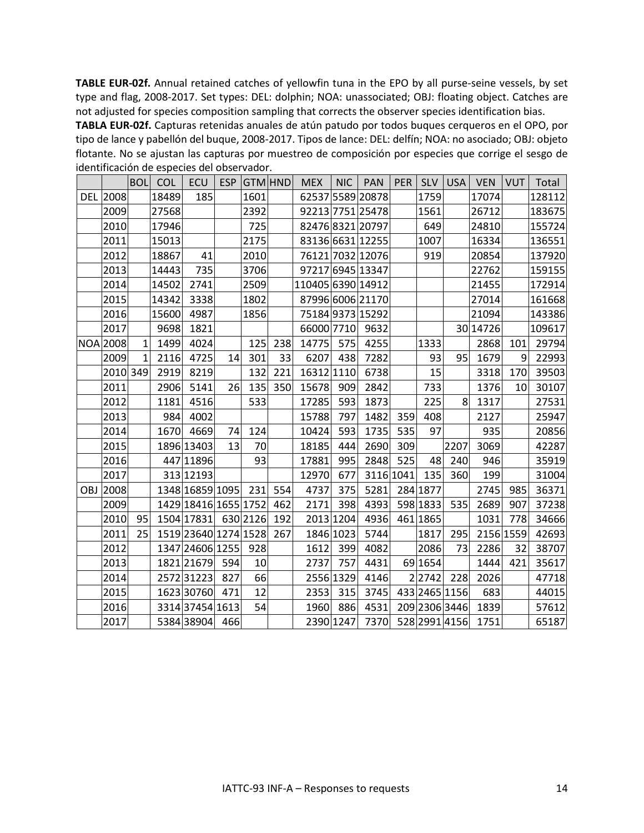**TABLE EUR-02f.** Annual retained catches of yellowfin tuna in the EPO by all purse-seine vessels, by set type and flag, 2008-2017. Set types: DEL: dolphin; NOA: unassociated; OBJ: floating object. Catches are not adjusted for species composition sampling that corrects the observer species identification bias.

**TABLA EUR-02f.** Capturas retenidas anuales de atún patudo por todos buques cerqueros en el OPO, por tipo de lance y pabellón del buque, 2008-2017. Tipos de lance: DEL: delfín; NOA: no asociado; OBJ: objeto flotante. No se ajustan las capturas por muestreo de composición por especies que corrige el sesgo de identificación de especies del observador.

|            |                 | <b>BOL</b>   | <b>COL</b> | ECU                  |     | ESP GTM HND |     | <b>MEX</b>        | <b>NIC</b> | <b>PAN</b>       | <b>PER</b> | <b>SLV</b>    | <b>USA</b> | <b>VEN</b> | <b>VUT</b> | Total  |
|------------|-----------------|--------------|------------|----------------------|-----|-------------|-----|-------------------|------------|------------------|------------|---------------|------------|------------|------------|--------|
|            | <b>DEL 2008</b> |              | 18489      | 185                  |     | 1601        |     |                   |            | 62537 5589 20878 |            | 1759          |            | 17074      |            | 128112 |
|            | 2009            |              | 27568      |                      |     | 2392        |     |                   |            | 92213 7751 25478 |            | 1561          |            | 26712      |            | 183675 |
|            | 2010            |              | 17946      |                      |     | 725         |     |                   |            | 82476832120797   |            | 649           |            | 24810      |            | 155724 |
|            | 2011            |              | 15013      |                      |     | 2175        |     |                   |            | 83136 6631 12255 |            | 1007          |            | 16334      |            | 136551 |
|            | 2012            |              | 18867      | 41                   |     | 2010        |     |                   |            | 76121 7032 12076 |            | 919           |            | 20854      |            | 137920 |
|            | 2013            |              | 14443      | 735                  |     | 3706        |     |                   |            | 97217 6945 13347 |            |               |            | 22762      |            | 159155 |
|            | 2014            |              | 14502      | 2741                 |     | 2509        |     | 110405 6390 14912 |            |                  |            |               |            | 21455      |            | 172914 |
|            | 2015            |              | 14342      | 3338                 |     | 1802        |     |                   |            | 87996 6006 21170 |            |               |            | 27014      |            | 161668 |
|            | 2016            |              | 15600      | 4987                 |     | 1856        |     |                   |            | 75184 9373 15292 |            |               |            | 21094      |            | 143386 |
|            | 2017            |              | 9698       | 1821                 |     |             |     | 66000 7710        |            | 9632             |            |               |            | 30 14726   |            | 109617 |
|            | <b>NOA 2008</b> | $\mathbf{1}$ | 1499       | 4024                 |     | 125         | 238 | 14775             | 575        | 4255             |            | 1333          |            | 2868       | 101        | 29794  |
|            | 2009            | 1            | 2116       | 4725                 | 14  | 301         | 33  | 6207              | 438        | 7282             |            | 93            | 95         | 1679       | 9          | 22993  |
|            | 2010 349        |              | 2919       | 8219                 |     | 132         | 221 | 16312 1110        |            | 6738             |            | 15            |            | 3318       | 170        | 39503  |
|            | 2011            |              | 2906       | 5141                 | 26  | 135         | 350 | 15678             | 909        | 2842             |            | 733           |            | 1376       | 10         | 30107  |
|            | 2012            |              | 1181       | 4516                 |     | 533         |     | 17285             | 593        | 1873             |            | 225           | 8          | 1317       |            | 27531  |
|            | 2013            |              | 984        | 4002                 |     |             |     | 15788             | 797        | 1482             | 359        | 408           |            | 2127       |            | 25947  |
|            | 2014            |              | 1670       | 4669                 | 74  | 124         |     | 10424             | 593        | 1735             | 535        | 97            |            | 935        |            | 20856  |
|            | 2015            |              |            | 1896 13403           | 13  | 70          |     | 18185             | 444        | 2690             | 309        |               | 2207       | 3069       |            | 42287  |
|            | 2016            |              |            | 447 11896            |     | 93          |     | 17881             | 995        | 2848             | 525        | 48            | 240        | 946        |            | 35919  |
|            | 2017            |              |            | 313 12193            |     |             |     | 12970             | 677        | 3116 1041        |            | 135           | 360        | 199        |            | 31004  |
| <b>OBJ</b> | 2008            |              |            | 1348 16859 1095      |     | 231         | 554 | 4737              | 375        | 5281             |            | 284 1877      |            | 2745       | 985        | 36371  |
|            | 2009            |              |            | 1429 18416 1655 1752 |     |             | 462 | 2171              | 398        | 4393             |            | 598 1833      | 535        | 2689       | 907        | 37238  |
|            | 2010            | 95           |            | 1504 17831           |     | 630 2126    | 192 |                   | 2013 1204  | 4936             |            | 461 1865      |            | 1031       | 778        | 34666  |
|            | 2011            | 25           |            | 1519 23640 1274 1528 |     |             | 267 |                   | 1846 1023  | 5744             |            | 1817          | 295        | 2156 1559  |            | 42693  |
|            | 2012            |              |            | 1347 24606 1255      |     | 928         |     | 1612              | 399        | 4082             |            | 2086          | 73         | 2286       | 32         | 38707  |
|            | 2013            |              |            | 1821 21679           | 594 | 10          |     | 2737              | 757        | 4431             |            | 69 1654       |            | 1444       | 421        | 35617  |
|            | 2014            |              |            | 257231223            | 827 | 66          |     |                   | 2556 1329  | 4146             |            | 2 2 7 4 2     | 228        | 2026       |            | 47718  |
|            | 2015            |              |            | 1623 30760           | 471 | 12          |     | 2353              | 315        | 3745             |            | 433 2465 1156 |            | 683        |            | 44015  |
|            | 2016            |              |            | 3314 37454 1613      |     | 54          |     | 1960              | 886        | 4531             |            | 209 2306 3446 |            | 1839       |            | 57612  |
|            | 2017            |              |            | 5384 38904           | 466 |             |     |                   | 2390 1247  | 7370             |            | 528 2991 4156 |            | 1751       |            | 65187  |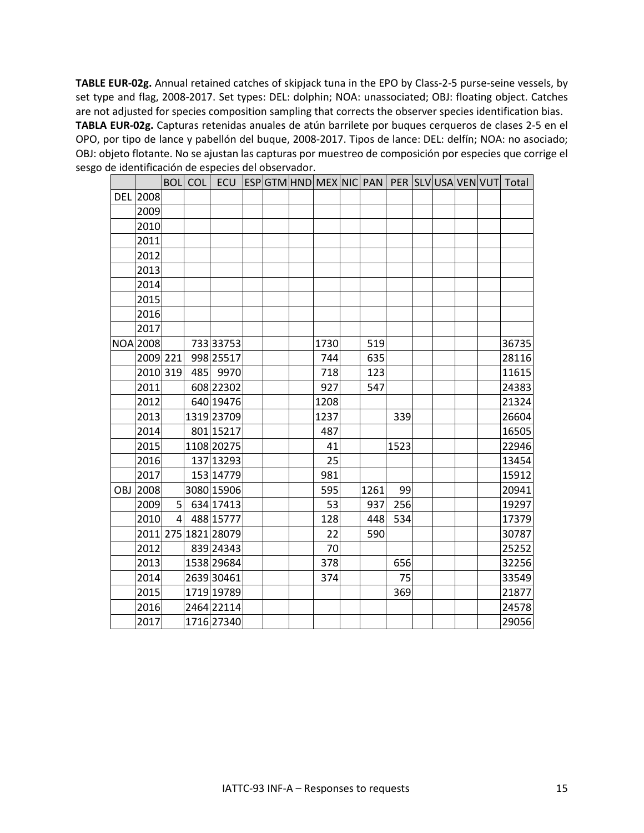**TABLE EUR-02g.** Annual retained catches of skipjack tuna in the EPO by Class-2-5 purse-seine vessels, by set type and flag, 2008-2017. Set types: DEL: dolphin; NOA: unassociated; OBJ: floating object. Catches are not adjusted for species composition sampling that corrects the observer species identification bias. **TABLA EUR-02g.** Capturas retenidas anuales de atún barrilete por buques cerqueros de clases 2-5 en el OPO, por tipo de lance y pabellón del buque, 2008-2017. Tipos de lance: DEL: delfín; NOA: no asociado; OBJ: objeto flotante. No se ajustan las capturas por muestreo de composición por especies que corrige el sesgo de identificación de especies del observador.

|            |          |                | <b>BOL</b> COL |                     |  |      |      |      |  |  | ECU ESPGTM HND MEX NIC PAN PER SLVUSAVEN VUT Total |
|------------|----------|----------------|----------------|---------------------|--|------|------|------|--|--|----------------------------------------------------|
|            | DEL 2008 |                |                |                     |  |      |      |      |  |  |                                                    |
|            | 2009     |                |                |                     |  |      |      |      |  |  |                                                    |
|            | 2010     |                |                |                     |  |      |      |      |  |  |                                                    |
|            | 2011     |                |                |                     |  |      |      |      |  |  |                                                    |
|            | 2012     |                |                |                     |  |      |      |      |  |  |                                                    |
|            | 2013     |                |                |                     |  |      |      |      |  |  |                                                    |
|            | 2014     |                |                |                     |  |      |      |      |  |  |                                                    |
|            | 2015     |                |                |                     |  |      |      |      |  |  |                                                    |
|            | 2016     |                |                |                     |  |      |      |      |  |  |                                                    |
|            | 2017     |                |                |                     |  |      |      |      |  |  |                                                    |
|            | NOA 2008 |                |                | 733 33753           |  | 1730 | 519  |      |  |  | 36735                                              |
|            | 2009 221 |                |                | 998 25517           |  | 744  | 635  |      |  |  | 28116                                              |
|            | 2010 319 |                |                | 485 9970            |  | 718  | 123  |      |  |  | 11615                                              |
|            | 2011     |                |                | 608 22302           |  | 927  | 547  |      |  |  | 24383                                              |
|            | 2012     |                |                | 640 19476           |  | 1208 |      |      |  |  | 21324                                              |
|            | 2013     |                |                | 1319 23709          |  | 1237 |      | 339  |  |  | 26604                                              |
|            | 2014     |                |                | 801 15217           |  | 487  |      |      |  |  | 16505                                              |
|            | 2015     |                |                | 1108 20275          |  | 41   |      | 1523 |  |  | 22946                                              |
|            | 2016     |                |                | 137 13293           |  | 25   |      |      |  |  | 13454                                              |
|            | 2017     |                |                | 153 14779           |  | 981  |      |      |  |  | 15912                                              |
| <b>OBJ</b> | 2008     |                |                | 3080 15906          |  | 595  | 1261 | 99   |  |  | 20941                                              |
|            | 2009     | 51             |                | 634 17413           |  | 53   | 937  | 256  |  |  | 19297                                              |
|            | 2010     | $\overline{4}$ |                | 488 15777           |  | 128  | 448  | 534  |  |  | 17379                                              |
|            |          |                |                | 2011 275 1821 28079 |  | 22   | 590  |      |  |  | 30787                                              |
|            | 2012     |                |                | 839 24343           |  | 70   |      |      |  |  | 25252                                              |
|            | 2013     |                |                | 1538 29684          |  | 378  |      | 656  |  |  | 32256                                              |
|            | 2014     |                |                | 2639 30461          |  | 374  |      | 75   |  |  | 33549                                              |
|            | 2015     |                |                | 1719 19789          |  |      |      | 369  |  |  | 21877                                              |
|            | 2016     |                |                | 2464 22114          |  |      |      |      |  |  | 24578                                              |
|            | 2017     |                |                | 1716 27340          |  |      |      |      |  |  | 29056                                              |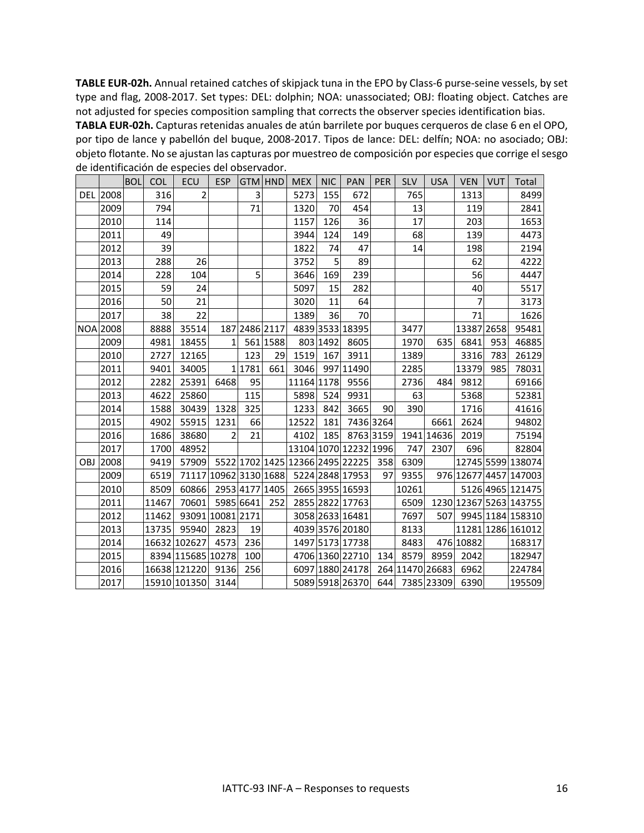**TABLE EUR-02h.** Annual retained catches of skipjack tuna in the EPO by Class-6 purse-seine vessels, by set type and flag, 2008-2017. Set types: DEL: dolphin; NOA: unassociated; OBJ: floating object. Catches are not adjusted for species composition sampling that corrects the observer species identification bias.

**TABLA EUR-02h.** Capturas retenidas anuales de atún barrilete por buques cerqueros de clase 6 en el OPO, por tipo de lance y pabellón del buque, 2008-2017. Tipos de lance: DEL: delfín; NOA: no asociado; OBJ: objeto flotante. No se ajustan las capturas por muestreo de composición por especies que corrige el sesgo de identificación de especies del observador.

|            |                 | <b>BOL</b> | <b>COL</b> | ECU               | <b>ESP</b>       |               | GTM HND  | <b>MEX</b> | <b>NIC</b> | PAN                             | PER       | <b>SLV</b>      | <b>USA</b> | <b>VEN</b>     | <b>VUT</b> | Total                  |
|------------|-----------------|------------|------------|-------------------|------------------|---------------|----------|------------|------------|---------------------------------|-----------|-----------------|------------|----------------|------------|------------------------|
|            | <b>DEL 2008</b> |            | 316        | 2                 |                  | 3             |          | 5273       | 155        | 672                             |           | 765             |            | 1313           |            | 8499                   |
|            | 2009            |            | 794        |                   |                  | 71            |          | 1320       | 70         | 454                             |           | 13              |            | 119            |            | 2841                   |
|            | 2010            |            | 114        |                   |                  |               |          | 1157       | 126        | 36                              |           | 17              |            | 203            |            | 1653                   |
|            | 2011            |            | 49         |                   |                  |               |          | 3944       | 124        | 149                             |           | 68              |            | 139            |            | 4473                   |
|            | 2012            |            | 39         |                   |                  |               |          | 1822       | 74         | 47                              |           | 14              |            | 198            |            | 2194                   |
|            | 2013            |            | 288        | 26                |                  |               |          | 3752       | 5          | 89                              |           |                 |            | 62             |            | 4222                   |
|            | 2014            |            | 228        | 104               |                  | 5             |          | 3646       | 169        | 239                             |           |                 |            | 56             |            | 4447                   |
|            | 2015            |            | 59         | 24                |                  |               |          | 5097       | 15         | 282                             |           |                 |            | 40             |            | 5517                   |
|            | 2016            |            | 50         | 21                |                  |               |          | 3020       | 11         | 64                              |           |                 |            | $\overline{7}$ |            | 3173                   |
|            | 2017            |            | 38         | 22                |                  |               |          | 1389       | 36         | 70                              |           |                 |            | 71             |            | 1626                   |
|            | <b>NOA 2008</b> |            | 8888       | 35514             |                  | 187 2486 2117 |          |            |            | 4839 3533 18395                 |           | 3477            |            | 13387 2658     |            | 95481                  |
|            | 2009            |            | 4981       | 18455             | $\mathbf{1}$     |               | 561 1588 |            | 803 1492   | 8605                            |           | 1970            | 635        | 6841           | 953        | 46885                  |
|            | 2010            |            | 2727       | 12165             |                  | 123           | 29       | 1519       | 167        | 3911                            |           | 1389            |            | 3316           | 783        | 26129                  |
|            | 2011            |            | 9401       | 34005             |                  | 11781         | 661      | 3046       |            | 997 11490                       |           | 2285            |            | 13379          | 985        | 78031                  |
|            | 2012            |            | 2282       | 25391             | 6468             | 95            |          | 11164 1178 |            | 9556                            |           | 2736            | 484        | 9812           |            | 69166                  |
|            | 2013            |            | 4622       | 25860             |                  | 115           |          | 5898       | 524        | 9931                            |           | 63              |            | 5368           |            | 52381                  |
|            | 2014            |            | 1588       | 30439             | 1328             | 325           |          | 1233       | 842        | 3665                            | 90        | 390             |            | 1716           |            | 41616                  |
|            | 2015            |            | 4902       | 55915             | 1231             | 66            |          | 12522      | 181        |                                 | 7436 3264 |                 | 6661       | 2624           |            | 94802                  |
|            | 2016            |            | 1686       | 38680             | 2                | 21            |          | 4102       | 185        |                                 | 8763 3159 |                 | 1941 14636 | 2019           |            | 75194                  |
|            | 2017            |            | 1700       | 48952             |                  |               |          |            |            | 13104 1070 12232 1996           |           | 747             | 2307       | 696            |            | 82804                  |
| <b>OBJ</b> | 2008            |            | 9419       | 57909             |                  |               |          |            |            | 5522 1702 1425 12366 2495 22225 | 358       | 6309            |            |                |            | 12745 5599 138074      |
|            | 2009            |            | 6519       | 71117             | 10962 3130 1688  |               |          |            |            | 5224 2848 17953                 | 97        | 9355            |            |                |            | 976 12677 4457 147003  |
|            | 2010            |            | 8509       | 60866             | 2953 4177 1405   |               |          |            |            | 2665 3955 16593                 |           | 10261           |            |                |            | 5126 4965 121475       |
|            | 2011            |            | 11467      | 70601             | 5985 6641        |               | 252      |            |            | 2855 2822 17763                 |           | 6509            |            |                |            | 1230 12367 5263 143755 |
|            | 2012            |            | 11462      |                   | 93091 10081 2171 |               |          |            |            | 3058 2633 16481                 |           | 7697            | 507        |                |            | 9945 1184 158310       |
|            | 2013            |            | 13735      | 95940             | 2823             | 19            |          |            |            | 4039 3576 20180                 |           | 8133            |            |                |            | 11281 1286 161012      |
|            | 2014            |            |            | 16632 102627      | 4573             | 236           |          |            |            | 1497 5173 17738                 |           | 8483            |            | 476 10882      |            | 168317                 |
|            | 2015            |            |            | 8394 115685 10278 |                  | 100           |          |            |            | 4706 1360 22710                 | 134       | 8579            | 8959       | 2042           |            | 182947                 |
|            | 2016            |            |            | 16638 121220      | 9136             | 256           |          |            |            | 6097 1880 24178                 |           | 264 11470 26683 |            | 6962           |            | 224784                 |
|            | 2017            |            |            | 15910 101350 3144 |                  |               |          |            |            | 5089 5918 26370                 |           | 644 7385 23309  |            | 6390           |            | 195509                 |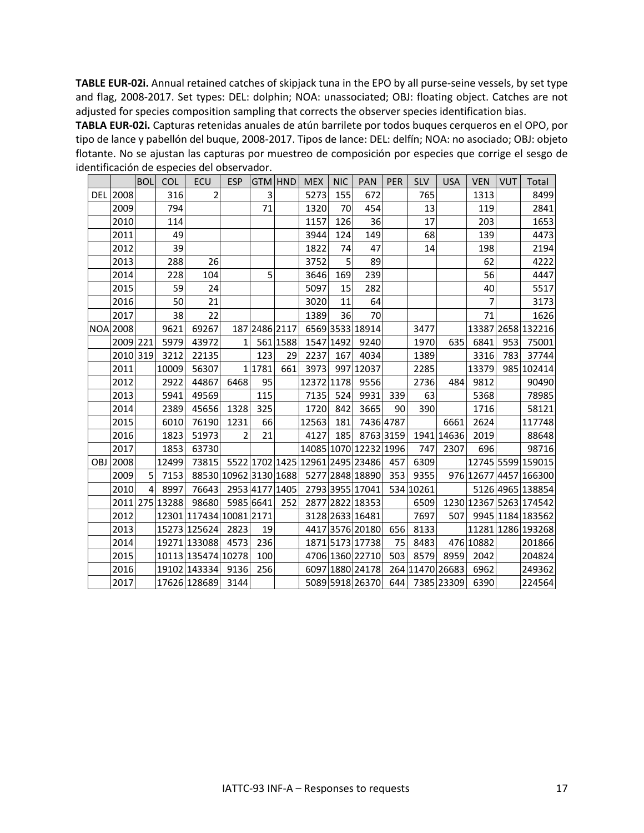**TABLE EUR-02i.** Annual retained catches of skipjack tuna in the EPO by all purse-seine vessels, by set type and flag, 2008-2017. Set types: DEL: dolphin; NOA: unassociated; OBJ: floating object. Catches are not adjusted for species composition sampling that corrects the observer species identification bias.

**TABLA EUR-02i.** Capturas retenidas anuales de atún barrilete por todos buques cerqueros en el OPO, por tipo de lance y pabellón del buque, 2008-2017. Tipos de lance: DEL: delfín; NOA: no asociado; OBJ: objeto flotante. No se ajustan las capturas por muestreo de composición por especies que corrige el sesgo de identificación de especies del observador.

|     |                 | <b>BOL</b>     | <b>COL</b>     | <b>ECU</b>              | <b>ESP</b>            | GTM HND       |          | <b>MEX</b> | <b>NIC</b> | <b>PAN</b>                      | <b>PER</b> | <b>SLV</b>      | <b>USA</b> | <b>VEN</b>     | <b>VUT</b> | Total                  |
|-----|-----------------|----------------|----------------|-------------------------|-----------------------|---------------|----------|------------|------------|---------------------------------|------------|-----------------|------------|----------------|------------|------------------------|
|     | DEL 2008        |                | 316            | 2                       |                       | 3             |          | 5273       | 155        | 672                             |            | 765             |            | 1313           |            | 8499                   |
|     | 2009            |                | 794            |                         |                       | 71            |          | 1320       | 70         | 454                             |            | 13              |            | 119            |            | 2841                   |
|     | 2010            |                | 114            |                         |                       |               |          | 1157       | 126        | 36                              |            | 17              |            | 203            |            | 1653                   |
|     | 2011            |                | 49             |                         |                       |               |          | 3944       | 124        | 149                             |            | 68              |            | 139            |            | 4473                   |
|     | 2012            |                | 39             |                         |                       |               |          | 1822       | 74         | 47                              |            | 14              |            | 198            |            | 2194                   |
|     | 2013            |                | 288            | 26                      |                       |               |          | 3752       | 5          | 89                              |            |                 |            | 62             |            | 4222                   |
|     | 2014            |                | 228            | 104                     |                       | 5             |          | 3646       | 169        | 239                             |            |                 |            | 56             |            | 4447                   |
|     | 2015            |                | 59             | 24                      |                       |               |          | 5097       | 15         | 282                             |            |                 |            | 40             |            | 5517                   |
|     | 2016            |                | 50             | 21                      |                       |               |          | 3020       | 11         | 64                              |            |                 |            | $\overline{7}$ |            | 3173                   |
|     | 2017            |                | 38             | 22                      |                       |               |          | 1389       | 36         | 70                              |            |                 |            | 71             |            | 1626                   |
|     | <b>NOA 2008</b> |                | 9621           | 69267                   |                       | 187 2486 2117 |          |            |            | 6569 3533 18914                 |            | 3477            |            |                |            | 13387 2658 132216      |
|     | 2009 221        |                | 5979           | 43972                   | 1                     |               | 561 1588 |            | 1547 1492  | 9240                            |            | 1970            | 635        | 6841           | 953        | 75001                  |
|     | 2010 319        |                | 3212           | 22135                   |                       | 123           | 29       | 2237       | 167        | 4034                            |            | 1389            |            | 3316           | 783        | 37744                  |
|     | 2011            |                | 10009          | 56307                   |                       | 1 1781        | 661      | 3973       |            | 997 12037                       |            | 2285            |            | 13379          |            | 985 102414             |
|     | 2012            |                | 2922           | 44867                   | 6468                  | 95            |          | 12372 1178 |            | 9556                            |            | 2736            | 484        | 9812           |            | 90490                  |
|     | 2013            |                | 5941           | 49569                   |                       | 115           |          | 7135       | 524        | 9931                            | 339        | 63              |            | 5368           |            | 78985                  |
|     | 2014            |                | 2389           | 45656                   | 1328                  | 325           |          | 1720       | 842        | 3665                            | 90         | 390             |            | 1716           |            | 58121                  |
|     | 2015            |                | 6010           | 76190                   | 1231                  | 66            |          | 12563      | 181        |                                 | 7436 4787  |                 | 6661       | 2624           |            | 117748                 |
|     | 2016            |                | 1823           | 51973                   | 2                     | 21            |          | 4127       |            | 185 8763 3159                   |            |                 | 1941 14636 | 2019           |            | 88648                  |
|     | 2017            |                | 1853           | 63730                   |                       |               |          |            |            | 14085 1070 12232 1996           |            | 747             | 2307       | 696            |            | 98716                  |
| OBJ | 2008            |                | 12499          | 73815                   |                       |               |          |            |            | 5522 1702 1425 12961 2495 23486 | 457        | 6309            |            |                |            | 12745 5599 159015      |
|     | 2009            | 5 <sup>1</sup> | 7153           |                         | 88530 10962 3130 1688 |               |          |            |            | 5277 2848 18890                 | 353        | 9355            |            |                |            | 976 12677 4457 166300  |
|     | 2010            | $\overline{4}$ | 8997           | 76643                   | 2953 4177 1405        |               |          |            |            | 2793 3955 17041                 |            | 534 10261       |            |                |            | 5126 4965 138854       |
|     |                 |                | 2011 275 13288 | 98680                   | 5985 6641             |               | 252      |            |            | 2877 2822 18353                 |            | 6509            |            |                |            | 1230 12367 5263 174542 |
|     | 2012            |                |                | 12301 117434 10081 2171 |                       |               |          |            |            | 3128 2633 16481                 |            | 7697            | 507        |                |            | 9945 1184 183562       |
|     | 2013            |                |                | 15273 125624            | 2823                  | 19            |          |            |            | 4417 3576 20180                 | 656        | 8133            |            |                |            | 11281 1286 193268      |
|     | 2014            |                |                | 19271 133088            | 4573                  | 236           |          |            |            | 1871 5173 17738                 | 75         | 8483            |            | 476 10882      |            | 201866                 |
|     | 2015            |                |                | 10113 135474 10278      |                       | 100           |          |            |            | 4706 1360 22710                 | 503        | 8579            | 8959       | 2042           |            | 204824                 |
|     | 2016            |                |                | 19102 143334            | 9136                  | 256           |          |            |            | 6097 1880 24178                 |            | 264 11470 26683 |            | 6962           |            | 249362                 |
|     | 2017            |                |                | 17626 128689 3144       |                       |               |          |            |            | 5089 5918 26370                 |            | 644 7385 23309  |            | 6390           |            | 224564                 |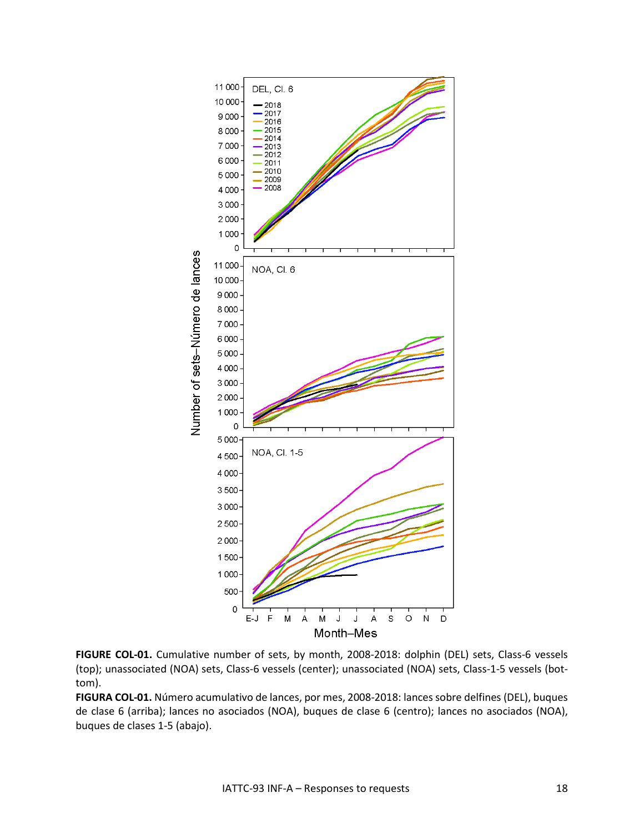

**FIGURE COL-01.** Cumulative number of sets, by month, 2008-2018: dolphin (DEL) sets, Class-6 vessels (top); unassociated (NOA) sets, Class-6 vessels (center); unassociated (NOA) sets, Class-1-5 vessels (bottom).

**FIGURA COL-01.** Número acumulativo de lances, por mes, 2008-2018: lances sobre delfines (DEL), buques de clase 6 (arriba); lances no asociados (NOA), buques de clase 6 (centro); lances no asociados (NOA), buques de clases 1-5 (abajo).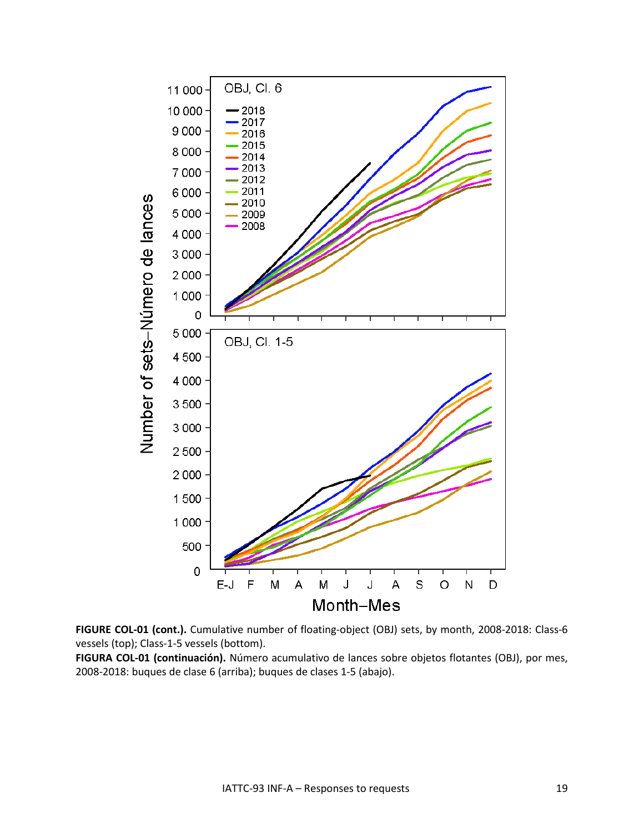

**FIGURE COL-01 (cont.).** Cumulative number of floating-object (OBJ) sets, by month, 2008-2018: Class-6 vessels (top); Class-1-5 vessels (bottom).

**FIGURA COL-01 (continuación).** Número acumulativo de lances sobre objetos flotantes (OBJ), por mes, 2008-2018: buques de clase 6 (arriba); buques de clases 1-5 (abajo).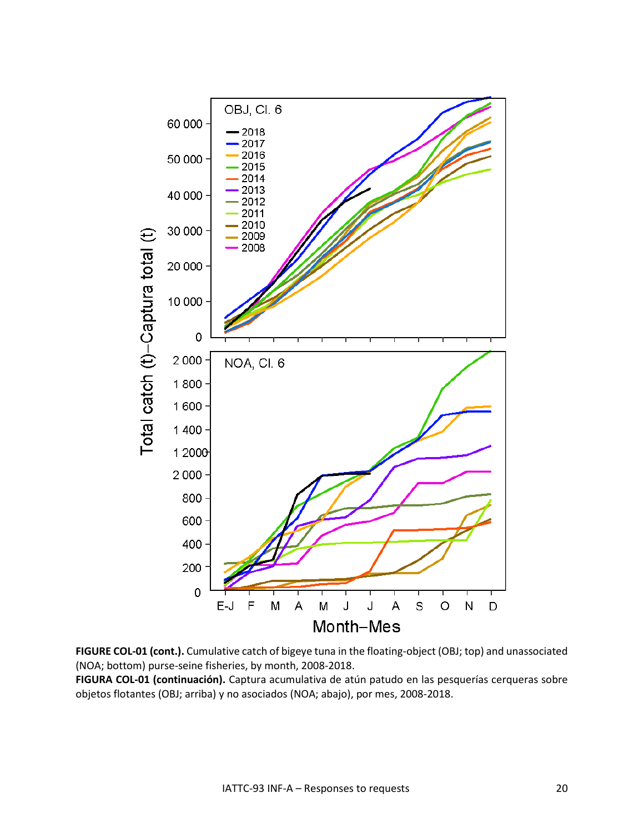

**FIGURE COL-01 (cont.).** Cumulative catch of bigeye tuna in the floating-object (OBJ; top) and unassociated (NOA; bottom) purse-seine fisheries, by month, 2008-2018.

**FIGURA COL-01 (continuación).** Captura acumulativa de atún patudo en las pesquerías cerqueras sobre objetos flotantes (OBJ; arriba) y no asociados (NOA; abajo), por mes, 2008-2018.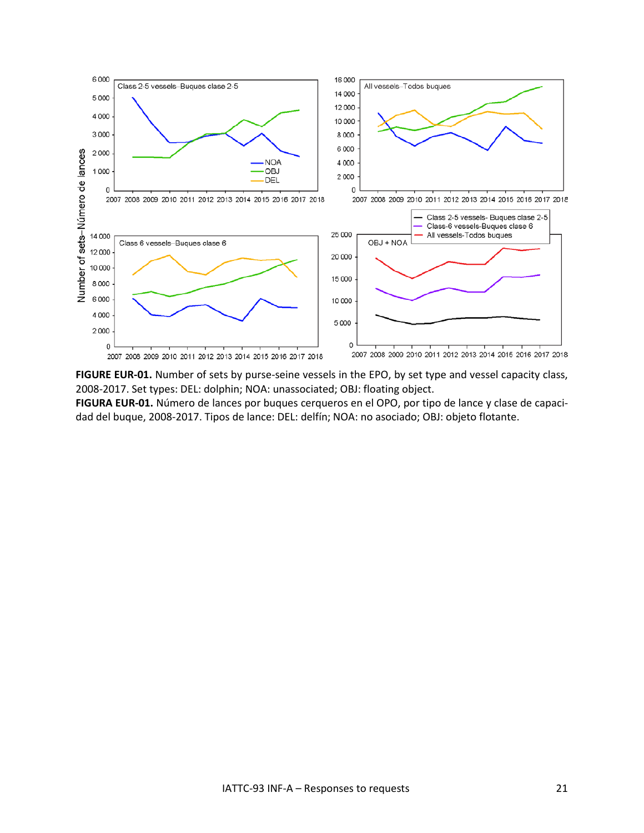

FIGURE EUR-01. Number of sets by purse-seine vessels in the EPO, by set type and vessel capacity class, 2008-2017. Set types: DEL: dolphin; NOA: unassociated; OBJ: floating object.

**FIGURA EUR-01.** Número de lances por buques cerqueros en el OPO, por tipo de lance y clase de capacidad del buque, 2008-2017. Tipos de lance: DEL: delfín; NOA: no asociado; OBJ: objeto flotante.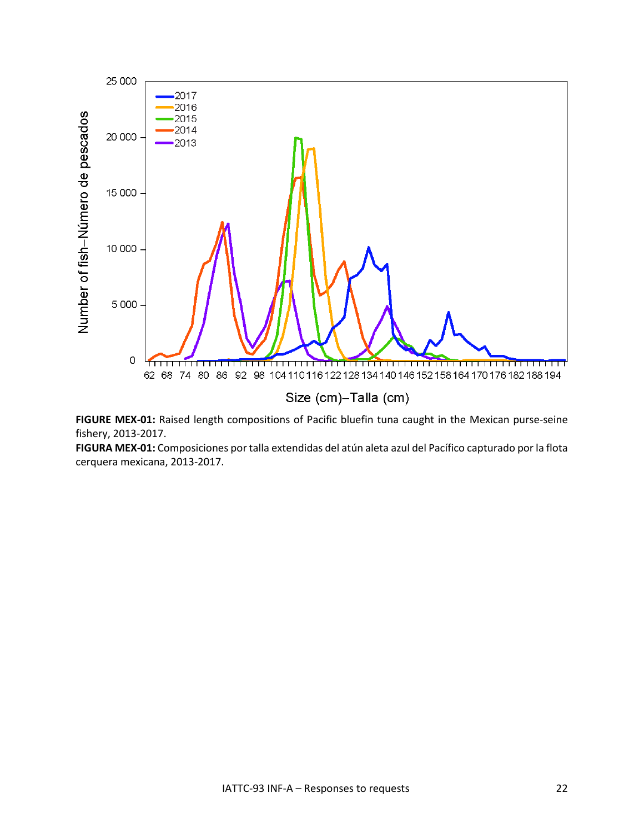

**FIGURE MEX-01:** Raised length compositions of Pacific bluefin tuna caught in the Mexican purse-seine fishery, 2013-2017.

**FIGURA MEX-01:** Composiciones por talla extendidas del atún aleta azul del Pacífico capturado por la flota cerquera mexicana, 2013-2017.